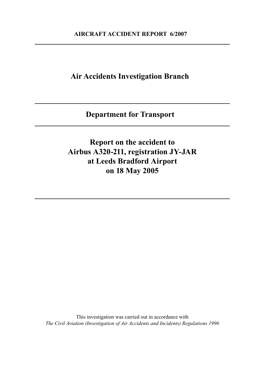# **Air Accidents Investigation Branch**

**Department for Transport**

**Report on the accident to Airbus A320-211, registration JY-JAR at Leeds Bradford Airport on 18 May 2005**

This investigation was carried out in accordance with *The Civil Aviation (Investigation of Air Accidents and Incidents) Regulations 1996*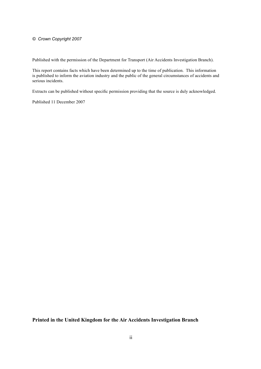#### *© Crown Copyright 2007*

Published with the permission of the Department for Transport (Air Accidents Investigation Branch).

This report contains facts which have been determined up to the time of publication. This information is published to inform the aviation industry and the public of the general circumstances of accidents and serious incidents.

Extracts can be published without specific permission providing that the source is duly acknowledged.

Published 11 December 2007

**Printed in the United Kingdom for the Air Accidents Investigation Branch**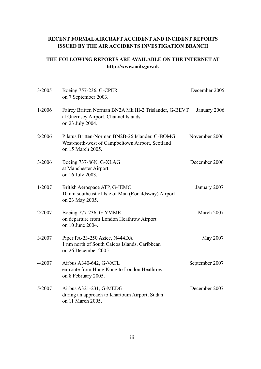## **RECENT FORMAL AIRCRAFT ACCIDENT AND INCIDENT REPORTS ISSUED BY THE AIR ACCIDENTS INVESTIGATION BRANCH**

## **THE FOLLOWING REPORTS ARE AVAILABLE ON THE INTERNET AT http://www.aaib.gov.uk**

| 3/2005 | Boeing 757-236, G-CPER<br>on 7 September 2003.                                                                           | December 2005  |
|--------|--------------------------------------------------------------------------------------------------------------------------|----------------|
| 1/2006 | Fairey Britten Norman BN2A Mk III-2 Trislander, G-BEVT<br>at Guernsey Airport, Channel Islands<br>on 23 July 2004.       | January 2006   |
| 2/2006 | Pilatus Britten-Norman BN2B-26 Islander, G-BOMG<br>West-north-west of Campbeltown Airport, Scotland<br>on 15 March 2005. | November 2006  |
| 3/2006 | Boeing 737-86N, G-XLAG<br>at Manchester Airport<br>on 16 July 2003.                                                      | December 2006  |
| 1/2007 | British Aerospace ATP, G-JEMC<br>10 nm southeast of Isle of Man (Ronaldsway) Airport<br>on 23 May 2005.                  | January 2007   |
| 2/2007 | Boeing 777-236, G-YMME<br>on departure from London Heathrow Airport<br>on 10 June 2004.                                  | March 2007     |
| 3/2007 | Piper PA-23-250 Aztec, N444DA<br>1 nm north of South Caicos Islands, Caribbean<br>on 26 December 2005.                   | May 2007       |
| 4/2007 | Airbus A340-642, G-VATL<br>en-route from Hong Kong to London Heathrow<br>on 8 February 2005.                             | September 2007 |
| 5/2007 | Airbus A321-231, G-MEDG<br>during an approach to Khartoum Airport, Sudan<br>on 11 March 2005.                            | December 2007  |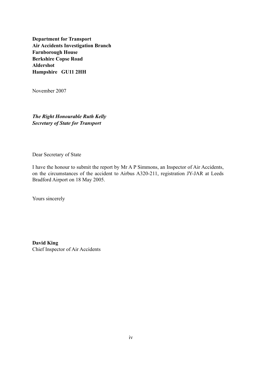**Department for Transport Air Accidents Investigation Branch Farnborough House Berkshire Copse Road Aldershot Hampshire GU11 2HH**

November 2007

*The Right Honourable Ruth Kelly Secretary of State for Transport*

Dear Secretary of State

I have the honour to submit the report by Mr A P Simmons, an Inspector of Air Accidents, on the circumstances of the accident to Airbus A320-211, registration JY-JAR at Leeds Bradford Airport on 18 May 2005.

Yours sincerely

**David King** Chief Inspector of Air Accidents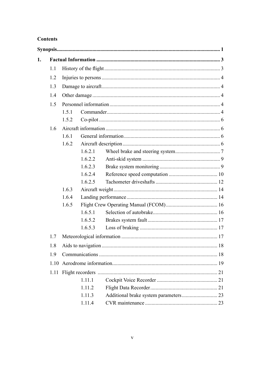## **Contents**

| 1. |      |       |         |  |
|----|------|-------|---------|--|
|    | 1.1  |       |         |  |
|    | 1.2  |       |         |  |
|    | 1.3  |       |         |  |
|    | 1.4  |       |         |  |
|    | 1.5  |       |         |  |
|    |      | 1.5.1 |         |  |
|    |      | 1.5.2 |         |  |
|    | 1.6  |       |         |  |
|    |      | 1.6.1 |         |  |
|    |      | 1.6.2 |         |  |
|    |      |       | 1.6.2.1 |  |
|    |      |       | 1.6.2.2 |  |
|    |      |       | 1.6.2.3 |  |
|    |      |       | 1.6.2.4 |  |
|    |      |       | 1.6.2.5 |  |
|    |      | 1.6.3 |         |  |
|    |      | 1.6.4 |         |  |
|    |      | 1.6.5 |         |  |
|    |      |       | 1.6.5.1 |  |
|    |      |       | 1.6.5.2 |  |
|    |      |       | 1.6.5.3 |  |
|    | 1.7  |       |         |  |
|    | 1.8  |       |         |  |
|    | 1.9  |       |         |  |
|    | 1.10 |       |         |  |
|    |      |       |         |  |
|    |      |       | 1.11.1  |  |
|    |      |       | 1.11.2  |  |
|    |      |       | 1.11.3  |  |
|    |      |       | 1.11.4  |  |
|    |      |       |         |  |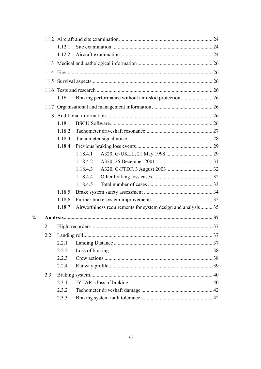|     | 1.12.1 |                                                              |  |
|-----|--------|--------------------------------------------------------------|--|
|     | 1.12.2 |                                                              |  |
|     |        |                                                              |  |
|     |        |                                                              |  |
|     |        |                                                              |  |
|     |        |                                                              |  |
|     | 1.16.1 |                                                              |  |
|     |        |                                                              |  |
|     |        |                                                              |  |
|     | 1.18.1 |                                                              |  |
|     | 1.18.2 |                                                              |  |
|     | 1.18.3 |                                                              |  |
|     | 1.18.4 |                                                              |  |
|     |        | 1.18.4.1                                                     |  |
|     |        | 1.18.4.2                                                     |  |
|     |        | 1.18.4.3                                                     |  |
|     |        | 1.18.4.4                                                     |  |
|     |        | 1.18.4.5                                                     |  |
|     | 1.18.5 |                                                              |  |
|     | 1.18.6 |                                                              |  |
|     | 1.18.7 | Airworthiness requirements for system design and analysis 35 |  |
|     |        |                                                              |  |
| 2.1 |        |                                                              |  |
| 2.2 |        |                                                              |  |
|     | 2.2.1  |                                                              |  |
|     | 2.2.2  |                                                              |  |
|     | 2.2.3  |                                                              |  |
|     | 2.2.4  |                                                              |  |
| 2.3 |        |                                                              |  |
|     | 2.3.1  |                                                              |  |
|     | 2.3.2  |                                                              |  |
|     | 2.3.3  |                                                              |  |
|     |        |                                                              |  |

 $2.$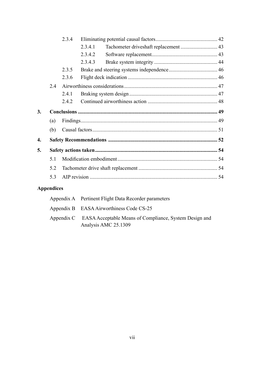|                    |     | 2.3.4 |         |                                       |  |
|--------------------|-----|-------|---------|---------------------------------------|--|
|                    |     |       | 2.3.4.1 | Tachometer driveshaft replacement  43 |  |
|                    |     |       | 2.3.4.2 |                                       |  |
|                    |     |       | 2.3.4.3 |                                       |  |
|                    |     | 2.3.5 |         |                                       |  |
|                    |     | 2.3.6 |         |                                       |  |
|                    | 2.4 |       |         |                                       |  |
|                    |     | 2.4.1 |         |                                       |  |
|                    |     | 2.4.2 |         |                                       |  |
| 3.                 |     |       |         |                                       |  |
|                    | (a) |       |         |                                       |  |
|                    | (b) |       |         |                                       |  |
| $\boldsymbol{4}$ . |     |       |         |                                       |  |
| 5.                 |     |       |         |                                       |  |
|                    | 51  |       |         |                                       |  |
|                    | 5.2 |       |         |                                       |  |
|                    | 5.3 |       |         |                                       |  |
|                    |     |       |         |                                       |  |

## **Appendices**

| Appendix A Pertinent Flight Data Recorder parameters                                      |
|-------------------------------------------------------------------------------------------|
| Appendix B EASA Airworthiness Code CS-25                                                  |
| Appendix C EASA Acceptable Means of Compliance, System Design and<br>Analysis AMC 25.1309 |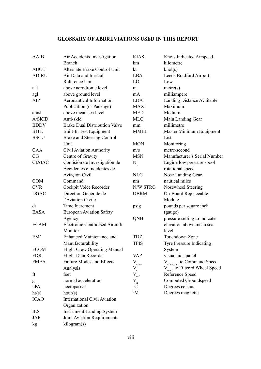## **GLOSSARY OF ABBREVIATIONS USED IN THIS REPORT**

| AAIB            | Air Accidents Investigation            | <b>KIAS</b>        | Knots Indicated Airspeed                   |
|-----------------|----------------------------------------|--------------------|--------------------------------------------|
|                 | <b>Branch</b>                          | km                 | kilometre                                  |
| <b>ABCU</b>     | Alternate Brake Control Unit           | kt                 | knot(s)                                    |
| <b>ADIRU</b>    | Air Data and Inertial                  | LBA                | Leeds Bradford Airport                     |
|                 | Reference Unit                         | LO                 | Low                                        |
| aal             | above aerodrome level                  | m                  | metre(s)                                   |
| agl             | above ground level                     | mA                 | milliampere                                |
| AIP             | <b>Aeronautical Information</b>        | <b>LDA</b>         | Landing Distance Available                 |
|                 | Publication (or Package)               | <b>MAX</b>         | Maximum                                    |
| amsl            | above mean sea level                   | <b>MED</b>         | Medium                                     |
| A/SKID          | Anti-skid                              | <b>MLG</b>         | Main Landing Gear                          |
| <b>BDDV</b>     | <b>Brake Dual Distribution Valve</b>   | mm                 | millimetre                                 |
| <b>BITE</b>     | <b>Built-In Test Equipment</b>         | <b>MMEL</b>        | Master Minimum Equipment                   |
| <b>BSCU</b>     | <b>Brake and Steering Control</b>      |                    | List                                       |
|                 | Unit                                   | <b>MON</b>         | Monitoring                                 |
| <b>CAA</b>      | Civil Aviation Authority               | m/s                | metre/second                               |
| CG              | Centre of Gravity                      | <b>MSN</b>         | Manufacturer's Serial Number               |
| <b>CIAIAC</b>   | Comisión de Investigatión de           | $N_{1}$            | Engine low pressure spool                  |
|                 | Accidentes e Incidentes de             |                    | rotational speed                           |
|                 | Aviaçion Civil                         | <b>NLG</b>         | Nose Landing Gear                          |
| <b>COM</b>      | Command                                | nm                 | nautical miles                             |
| <b>CVR</b>      | Cockpit Voice Recorder                 | N/W STRG           | Nosewheel Steering                         |
| <b>DGAC</b>     | Direction Générale de                  | <b>OBRM</b>        | On-Board Replaceable                       |
|                 | l'Aviation Civile                      |                    | Module                                     |
| dt              | Time Increment                         | psig               | pounds per square inch                     |
| <b>EASA</b>     | <b>European Aviation Safety</b>        |                    | (gauge)                                    |
|                 | Agency                                 | <b>QNH</b>         | pressure setting to indicate               |
| <b>ECAM</b>     | <b>Electronic Centralised Aircraft</b> |                    | elevation above mean sea                   |
|                 | Monitor                                |                    | level                                      |
| EM <sup>2</sup> | <b>Enhanced Maintenance and</b>        | TDZ                | Touchdown Zone                             |
|                 | Manufacturability                      | <b>TPIS</b>        | <b>Tyre Pressure Indicating</b>            |
| <b>FCOM</b>     | <b>Flight Crew Operating Manual</b>    |                    | System                                     |
| <b>FDR</b>      | Flight Data Recorder                   | <b>VAP</b>         | visual aids panel                          |
| <b>FMEA</b>     | <b>Failure Modes and Effects</b>       | $\rm V_{\rm cons}$ | V <sub>consigne</sub> , ie Command Speed   |
|                 | Analysis                               | $V_{\rm r}$        | $\rm V_{\rm roue}$ ie Filtered Wheel Speed |
| ft              | feet                                   | $V_{ref}$          | Reference Speed                            |
| g               | normal acceleration                    | $V_{x}$            | <b>Computed Groundspeed</b>                |
| hPA             | hectopascal                            | $\rm ^{o}C$        | Degrees celsius                            |
| hr(s)           | hour(s)                                | $\rm ^{o}M$        | Degrees magnetic                           |
| <b>ICAO</b>     | <b>International Civil Aviation</b>    |                    |                                            |
|                 | Organization                           |                    |                                            |
| ILS             | <b>Instrument Landing System</b>       |                    |                                            |
| JAR             | Joint Aviation Requirements            |                    |                                            |
| kg              | kilogram(s)                            |                    |                                            |
|                 |                                        |                    |                                            |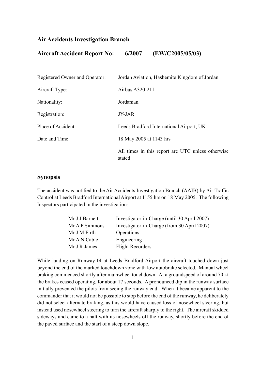#### **Air Accidents Investigation Branch**

**Aircraft Accident Report No: 6/2007 (EW/C2005/05/03)**

| Registered Owner and Operator: | Jordan Aviation, Hashemite Kingdom of Jordan                |
|--------------------------------|-------------------------------------------------------------|
| Aircraft Type:                 | Airbus A320-211                                             |
| Nationality:                   | Jordanian                                                   |
| Registration:                  | <b>JY-JAR</b>                                               |
| Place of Accident:             | Leeds Bradford International Airport, UK                    |
| Date and Time:                 | 18 May 2005 at 1143 hrs                                     |
|                                | All times in this report are UTC unless otherwise<br>stated |

## **Synopsis**

The accident was notified to the Air Accidents Investigation Branch (AAIB) by Air Traffic Control at Leeds Bradford International Airport at 1155 hrs on 18 May 2005. The following Inspectors participated in the investigation:

| Investigator-in-Charge (until 30 April 2007) |
|----------------------------------------------|
| Investigator-in-Charge (from 30 April 2007)  |
| Operations                                   |
| Engineering                                  |
| <b>Flight Recorders</b>                      |
|                                              |

While landing on Runway 14 at Leeds Bradford Airport the aircraft touched down just beyond the end of the marked touchdown zone with low autobrake selected. Manual wheel braking commenced shortly after mainwheel touchdown. At a groundspeed of around 70 kt the brakes ceased operating, for about 17 seconds. A pronounced dip in the runway surface initially prevented the pilots from seeing the runway end. When it became apparent to the commander that it would not be possible to stop before the end of the runway, he deliberately did not select alternate braking, as this would have caused loss of nosewheel steering, but instead used nosewheel steering to turn the aircraft sharply to the right. The aircraft skidded sideways and came to a halt with its nosewheels off the runway, shortly before the end of the paved surface and the start of a steep down slope.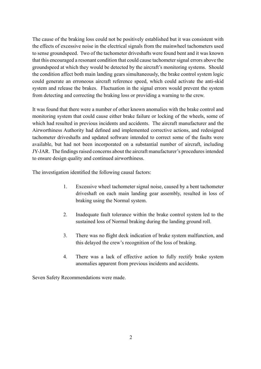The cause of the braking loss could not be positively established but it was consistent with the effects of excessive noise in the electrical signals from the mainwheel tachometers used to sense groundspeed. Two of the tachometer driveshafts were found bent and it was known that this encouraged a resonant condition that could cause tachometer signal errors above the groundspeed at which they would be detected by the aircraft's monitoring systems. Should the condition affect both main landing gears simultaneously, the brake control system logic could generate an erroneous aircraft reference speed, which could activate the anti-skid system and release the brakes. Fluctuation in the signal errors would prevent the system from detecting and correcting the braking loss or providing a warning to the crew.

It was found that there were a number of other known anomalies with the brake control and monitoring system that could cause either brake failure or locking of the wheels, some of which had resulted in previous incidents and accidents. The aircraft manufacturer and the Airworthiness Authority had defined and implemented corrective actions, and redesigned tachometer driveshafts and updated software intended to correct some of the faults were available, but had not been incorporated on a substantial number of aircraft, including JY‑JAR. The findings raised concerns about the aircraft manufacturer's procedures intended to ensure design quality and continued airworthiness.

The investigation identified the following causal factors:

- 1. Excessive wheel tachometer signal noise, caused by a bent tachometer driveshaft on each main landing gear assembly, resulted in loss of braking using the Normal system.
- 2. Inadequate fault tolerance within the brake control system led to the sustained loss of Normal braking during the landing ground roll.
- 3. There was no flight deck indication of brake system malfunction, and this delayed the crew's recognition of the loss of braking.
- 4. There was a lack of effective action to fully rectify brake system anomalies apparent from previous incidents and accidents.

Seven Safety Recommendations were made.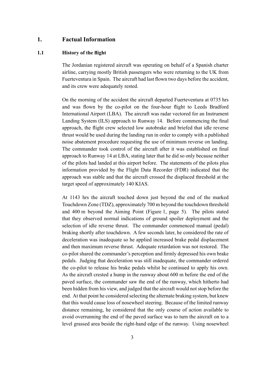#### **1. Factual Information**

#### **1.1 History of the flight**

The Jordanian registered aircraft was operating on behalf of a Spanish charter airline, carrying mostly British passengers who were returning to the UK from Fuerteventura in Spain. The aircraft had last flown two days before the accident, and its crew were adequately rested.

On the morning of the accident the aircraft departed Fuerteventura at 0735 hrs and was flown by the co-pilot on the four-hour flight to Leeds Bradford International Airport (LBA). The aircraft was radar vectored for an Instrument Landing System (ILS) approach to Runway 14. Before commencing the final approach, the flight crew selected low autobrake and briefed that idle reverse thrust would be used during the landing run in order to comply with a published noise abatement procedure requesting the use of minimum reverse on landing. The commander took control of the aircraft after it was established on final approach to Runway 14 at LBA, stating later that he did so only because neither of the pilots had landed at this airport before. The statements of the pilots plus information provided by the Flight Data Recorder (FDR) indicated that the approach was stable and that the aircraft crossed the displaced threshold at the target speed of approximately 140 KIAS.

At 1143 hrs the aircraft touched down just beyond the end of the marked Touchdown Zone (TDZ), approximately 700 m beyond the touchdown threshold and 400 m beyond the Aiming Point (Figure 1, page 5). The pilots stated that they observed normal indications of ground spoiler deployment and the selection of idle reverse thrust. The commander commenced manual (pedal) braking shortly after touchdown. A few seconds later, he considered the rate of deceleration was inadequate so he applied increased brake pedal displacement and then maximum reverse thrust. Adequate retardation was not restored. The co-pilot shared the commander's perception and firmly depressed his own brake pedals. Judging that deceleration was still inadequate, the commander ordered the co-pilot to release his brake pedals whilst he continued to apply his own. As the aircraft crested a hump in the runway about 600 m before the end of the paved surface, the commander saw the end of the runway, which hitherto had been hidden from his view, and judged that the aircraft would not stop before the end. At that point he considered selecting the alternate braking system, but knew that this would cause loss of nosewheel steering. Because of the limited runway distance remaining, he considered that the only course of action available to avoid overrunning the end of the paved surface was to turn the aircraft on to a level grassed area beside the right-hand edge of the runway. Using nosewheel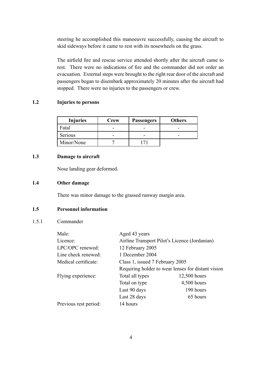steering he accomplished this manoeuvre successfully, causing the aircraft to skid sideways before it came to rest with its nosewheels on the grass.

The airfield fire and rescue service attended shortly after the aircraft came to rest. There were no indications of fire and the commander did not order an evacuation. External steps were brought to the right rear door of the aircraft and passengers began to disembark approximately 20 minutes after the aircraft had stopped. There were no injuries to the passengers or crew.

#### **1.2 Injuries to persons**

| <b>Injuries</b> | <b>Crew</b> | <b>Passengers</b> | <b>Others</b> |
|-----------------|-------------|-------------------|---------------|
| Fatal           |             |                   |               |
| Serious         |             |                   |               |
| Minor/None      |             |                   |               |

#### **1.3 Damage to aircraft**

Nose landing gear deformed.

#### **1.4 Other damage**

There was minor damage to the grassed runway margin area.

#### **1.5 Personnel information**

#### 1.5.1 Commander

| Male:                 | Aged 43 years                   |                                                    |  |
|-----------------------|---------------------------------|----------------------------------------------------|--|
| Licence:              |                                 | Airline Transport Pilot's Licence (Jordanian)      |  |
| LPC/OPC renewed:      | 12 February 2005                |                                                    |  |
| Line check renewed:   | 1 December 2004                 |                                                    |  |
| Medical certificate:  | Class 1, issued 7 February 2005 |                                                    |  |
|                       |                                 | Requiring holder to wear lenses for distant vision |  |
| Flying experience:    | Total all types                 | 12,500 hours                                       |  |
|                       | Total on type                   | $4,500$ hours                                      |  |
|                       | Last 90 days                    | 190 hours                                          |  |
|                       | Last 28 days                    | 65 hours                                           |  |
| Previous rest period: | 14 hours                        |                                                    |  |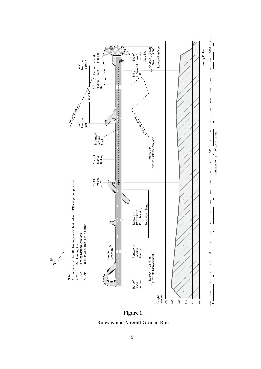

**Figure 1** Runway and Aircraft Ground Run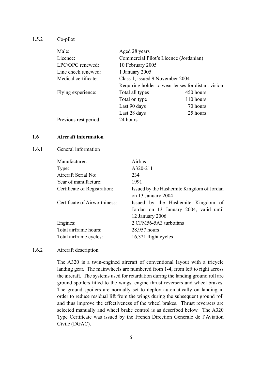#### 1.5.2 Co-pilot

| Male:                 | Aged 28 years                          |                                                    |
|-----------------------|----------------------------------------|----------------------------------------------------|
| Licence:              | Commercial Pilot's Licence (Jordanian) |                                                    |
| LPC/OPC renewed:      | 10 February 2005                       |                                                    |
| Line check renewed:   | 1 January 2005                         |                                                    |
| Medical certificate:  | Class 1, issued 9 November 2004        |                                                    |
|                       |                                        | Requiring holder to wear lenses for distant vision |
| Flying experience:    | Total all types                        | 450 hours                                          |
|                       | Total on type                          | 110 hours                                          |
|                       | Last 90 days                           | 70 hours                                           |
|                       | Last 28 days                           | 25 hours                                           |
| Previous rest period: | 24 hours                               |                                                    |

#### **1.6 Aircraft information**

#### 1.6.1 General information

| Manufacturer:                 | Airbus                                    |
|-------------------------------|-------------------------------------------|
| Type:                         | A320-211                                  |
| Aircraft Serial No:           | 234                                       |
| Year of manufacture:          | 1991                                      |
| Certificate of Registration:  | Issued by the Hashemite Kingdom of Jordan |
|                               | on 13 January 2004                        |
| Certificate of Airworthiness: | Issued by the Hashemite Kingdom of        |
|                               | Jordan on 13 January 2004, valid until    |
|                               | 12 January 2006                           |
| Engines:                      | 2 CFM56-5A3 turbofans                     |
| Total airframe hours:         | 28,957 hours                              |
| Total airframe cycles:        | 16,321 flight cycles                      |

#### 1.6.2 Aircraft description

The A320 is a twin-engined aircraft of conventional layout with a tricycle landing gear. The mainwheels are numbered from 1-4, from left to right across the aircraft. The systems used for retardation during the landing ground roll are ground spoilers fitted to the wings, engine thrust reversers and wheel brakes. The ground spoilers are normally set to deploy automatically on landing in order to reduce residual lift from the wings during the subsequent ground roll and thus improve the effectiveness of the wheel brakes. Thrust reversers are selected manually and wheel brake control is as described below. The A320 Type Certificate was issued by the French Direction Générale de l'Aviation Civile (DGAC).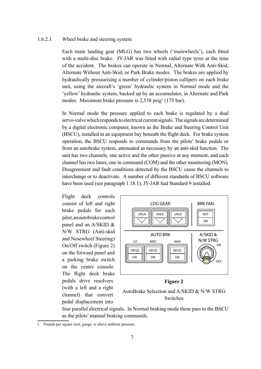#### 1.6.2.1 Wheel brake and steering system

Each main landing gear (MLG) has two wheels ('mainwheels'), each fitted with a multi-disc brake. JY-JAR was fitted with radial type tyres at the time of the accident. The brakes can operate in Normal, Alternate With Anti-Skid, Alternate Without Anti-Skid, or Park Brake modes. The brakes are applied by hydraulically pressurising a number of cylinder/piston callipers on each brake unit, using the aircraft's 'green' hydraulic system in Normal mode and the 'yellow' hydraulic system, backed up by an accumulator, in Alternate and Park modes. Maximum brake pressure is  $2,538$  psig<sup>1</sup> (175 bar).

In Normal mode the pressure applied to each brake is regulated by a dual servo-valve which responds to electrical current signals. The signals are determined by a digital electronic computer, known as the Brake and Steering Control Unit (BSCU), installed in an equipment bay beneath the flight deck. For brake system operation, the BSCU responds to commands from the pilots' brake pedals or from an autobrake system, attenuated as necessary by an anti‑skid function. The unit has two channels, one active and the other passive at any moment, and each channel has two lanes, one in command (COM) and the other monitoring (MON). Disagreement and fault conditions detected by the BSCU cause the channels to interchange or to deactivate. A number of different standards of BSCU software have been used (see paragraph 1.18.1); JY-JAR had Standard 9 installed.

Flight deck controls consist of left and right brake pedals for each pilot, an autobrake control panel and an A/SKID & N/W STRG (Anti-skid and Nosewheel Steering) On/Off switch (Figure 2) on the forward panel and a parking brake switch on the centre console. The flight deck brake pedals drive resolvers (with a left and a right channel) that convert pedal displacement into



**Figure 2**



four parallel electrical signals. In Normal braking mode these pass to the BSCU as the pilots' manual braking commands.

<sup>1</sup> Pounds per square inch, gauge, ie above ambient pressure.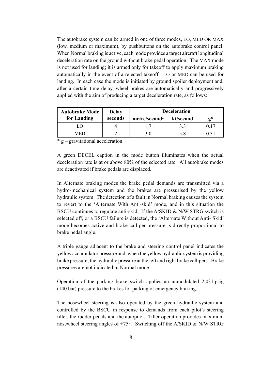The autobrake system can be armed in one of three modes, LO, MED OR MAX (low, medium or maximum), by pushbuttons on the autobrake control panel. When Normal braking is active, each mode provides a target aircraft longitudinal deceleration rate on the ground without brake pedal operation. The MAX mode is not used for landing; it is armed only for takeoff to apply maximum braking automatically in the event of a rejected takeoff. LO or MED can be used for landing. In each case the mode is initiated by ground spoiler deployment and, after a certain time delay, wheel brakes are automatically and progressively applied with the aim of producing a target deceleration rate, as follows:

| <b>Autobrake Mode</b> | <b>Delay</b> | <b>Deceleration</b>       |           |    |  |
|-----------------------|--------------|---------------------------|-----------|----|--|
| for Landing           | seconds      | metre/second <sup>2</sup> | kt/second | ա∗ |  |
| LO                    |              |                           |           |    |  |
| MED                   |              |                           | 5.8       |    |  |

 $*$  g – gravitational acceleration

A green DECEL caption in the mode button illuminates when the actual deceleration rate is at or above 80% of the selected rate. All autobrake modes are deactivated if brake pedals are displaced.

In Alternate braking modes the brake pedal demands are transmitted via a hydro-mechanical system and the brakes are pressurised by the yellow hydraulic system. The detection of a fault in Normal braking causes the system to revert to the 'Alternate With Anti-skid' mode, and in this situation the BSCU continues to regulate anti-skid. If the A/SKID & N/W STRG switch is selected off, or a BSCU failure is detected, the 'Alternate Without Anti-Skid' mode becomes active and brake calliper pressure is directly proportional to brake pedal angle.

A triple gauge adjacent to the brake and steering control panel indicates the yellow accumulator pressure and, when the yellow hydraulic system is providing brake pressure, the hydraulic pressure at the left and right brake callipers. Brake pressures are not indicated in Normal mode.

Operation of the parking brake switch applies an unmodulated 2,031 psig (140 bar) pressure to the brakes for parking or emergency braking.

The nosewheel steering is also operated by the green hydraulic system and controlled by the BSCU in response to demands from each pilot's steering tiller, the rudder pedals and the autopilot. Tiller operation provides maximum nosewheel steering angles of  $\pm 75^{\circ}$ . Switching off the A/SKID & N/W STRG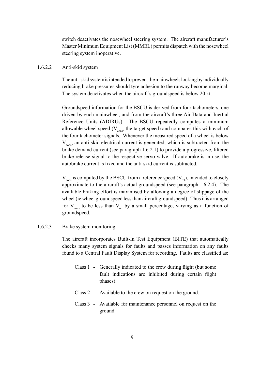switch deactivates the nosewheel steering system. The aircraft manufacturer's Master Minimum Equipment List (MMEL) permits dispatch with the nosewheel steering system inoperative.

#### 1.6.2.2 Anti-skid system

The anti-skid system is intended to prevent the mainwheels locking by individually reducing brake pressures should tyre adhesion to the runway become marginal. The system deactivates when the aircraft's groundspeed is below 20 kt.

Groundspeed information for the BSCU is derived from four tachometers, one driven by each mainwheel, and from the aircraft's three Air Data and Inertial Reference Units (ADIRUs). The BSCU repeatedly computes a minimum allowable wheel speed  $(V_{\text{cons}})$ , the target speed) and compares this with each of the four tachometer signals. Whenever the measured speed of a wheel is below  $V_{\text{cons}}$  an anti-skid electrical current is generated, which is subtracted from the brake demand current (see paragraph 1.6.2.1) to provide a progressive, filtered brake release signal to the respective servo-valve. If autobrake is in use, the autobrake current is fixed and the anti-skid current is subtracted.

 $V_{\text{cons}}$  is computed by the BSCU from a reference speed ( $V_{\text{ref}}$ ), intended to closely approximate to the aircraft's actual groundspeed (see paragraph 1.6.2.4). The available braking effort is maximised by allowing a degree of slippage of the wheel (ie wheel groundspeed less than aircraft groundspeed). Thus it is arranged for  $V_{\text{cons}}$  to be less than  $V_{\text{ref}}$  by a small percentage, varying as a function of groundspeed.

#### 1.6.2.3 Brake system monitoring

The aircraft incorporates Built-In Test Equipment (BITE) that automatically checks many system signals for faults and passes information on any faults found to a Central Fault Display System for recording. Faults are classified as:

- Class 1 Generally indicated to the crew during flight (but some fault indications are inhibited during certain flight phases).
- Class 2 Available to the crew on request on the ground.
- Class 3 Available for maintenance personnel on request on the ground.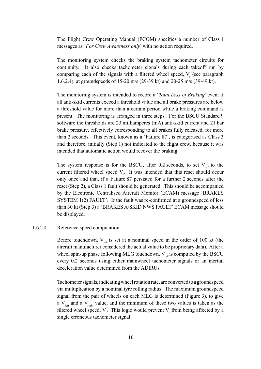The Flight Crew Operating Manual (FCOM) specifies a number of Class 1 messages as '*For Crew Awareness only*' with no action required.

The monitoring system checks the braking system tachometer circuits for continuity. It also checks tachometer signals during each takeoff run by comparing each of the signals with a filtered wheel speed,  $V_r$  (see paragraph 1.6.2.4), at groundspeeds of 15‑20 m/s (29‑39 kt) and 20‑25 m/s (39‑49 kt).

The monitoring system is intended to record a '*Total Loss of Braking*' event if all anti-skid currents exceed a threshold value and all brake pressures are below a threshold value for more than a certain period while a braking command is present. The monitoring is arranged in three steps. For the BSCU Standard 9 software the thresholds are 23 milliamperes (mA) anti-skid current and 21 bar brake pressure, effectively corresponding to all brakes fully released, for more than 2 seconds. This event, known as a 'Failure 87', is categorised as Class 3 and therefore, initially (Step 1) not indicated to the flight crew, because it was intended that automatic action would recover the braking.

The system response is for the BSCU, after 0.2 seconds, to set  $V_{ref}$  to the current filtered wheel speed  $V<sub>r</sub>$ . It was intended that this reset should occur only once and that, if a Failure 87 persisted for a further 2 seconds after the reset (Step 2), a Class 1 fault should be generated. This should be accompanied by the Electronic Centralised Aircraft Monitor (ECAM) message 'BRAKES SYSTEM 1(2) FAULT'. If the fault was re-confirmed at a groundspeed of less than 30 kt (Step 3) a 'BRAKES A/SKID NWS FAULT' ECAM message should be displayed.

#### 1.6.2.4 Reference speed computation

Before touchdown,  $V_{ref}$  is set at a nominal speed in the order of 100 kt (the aircraft manufacturer considered the actual value to be proprietary data). After a wheel spin-up phase following MLG touchdown,  $V_{ref}$  is computed by the BSCU every 0.2 seconds using either mainwheel tachometer signals or an inertial deceleration value determined from the ADIRUs.

Tachometer signals, indicating wheel rotation rate, are converted to a groundspeed via multiplication by a nominal tyre rolling radius. The maximum groundspeed signal from the pair of wheels on each MLG is determined (Figure 3), to give a  $V_{\text{left}}$  and a  $V_{\text{right}}$  value, and the minimum of these two values is taken as the filtered wheel speed,  $V_r$ . This logic would prevent  $V_r$  from being affected by a single erroneous tachometer signal.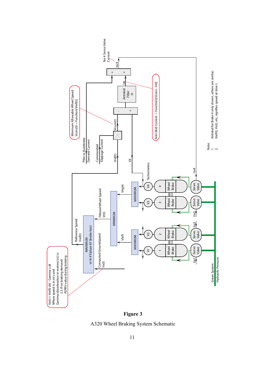

**Figure 3** A320 Wheel Braking System Schematic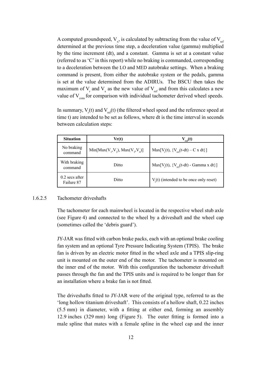A computed groundspeed,  $V_{x}$ , is calculated by subtracting from the value of  $V_{ref}$ determined at the previous time step, a deceleration value (gamma) multiplied by the time increment (dt), and a constant. Gamma is set at a constant value (referred to as 'C' in this report) while no braking is commanded, corresponding to a deceleration between the LO and MED autobrake settings. When a braking command is present, from either the autobrake system or the pedals, gamma is set at the value determined from the ADIRUs. The BSCU then takes the maximum of  $V_r$  and  $V_x$  as the new value of  $V_{ref}$  and from this calculates a new value of  $V_{\text{cons}}$  for comparison with individual tachometer derived wheel speeds.

In summary,  $V_r(t)$  and  $V_{ref}(t)$  (the filtered wheel speed and the reference speed at time t) are intended to be set as follows, where dt is the time interval in seconds between calculation steps:

| <b>Situation</b>               | Vr(t)                               | $V_{ref}(t)$                                    |  |  |
|--------------------------------|-------------------------------------|-------------------------------------------------|--|--|
| No braking<br>command          | $Min[Max(V_1, V_2), Max(V_3, V_4)]$ | $Max[V_r(t), \{V_{ref}(t-dt) - C \times dt\}]$  |  |  |
| With braking<br>command        | Ditto                               | $Max[V_{r}(t), \{V_{ref}(t-dt) - Gamma x dt\}]$ |  |  |
| $0.2$ secs after<br>Failure 87 | Ditto                               | $V_{r}(t)$ (intended to be once only reset)     |  |  |

#### 1.6.2.5 Tachometer driveshafts

The tachometer for each mainwheel is located in the respective wheel stub axle (see Figure 4) and connected to the wheel by a driveshaft and the wheel cap (sometimes called the 'debris guard').

JY‑JAR was fitted with carbon brake packs, each with an optional brake cooling fan system and an optional Tyre Pressure Indicating System (TPIS). The brake fan is driven by an electric motor fitted in the wheel axle and a TPIS slip-ring unit is mounted on the outer end of the motor. The tachometer is mounted on the inner end of the motor. With this configuration the tachometer driveshaft passes through the fan and the TPIS units and is required to be longer than for an installation where a brake fan is not fitted.

The driveshafts fitted to JY‑JAR were of the original type, referred to as the 'long hollow titanium driveshaft'. This consists of a hollow shaft, 0.22 inches (5.5 mm) in diameter, with a fitting at either end, forming an assembly 12.9 inches (329 mm) long (Figure 5). The outer fitting is formed into a male spline that mates with a female spline in the wheel cap and the inner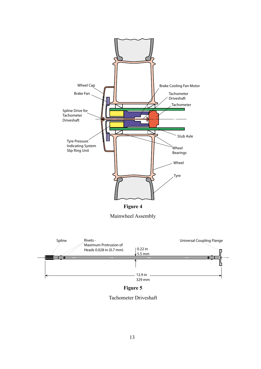

**Figure 4**

Mainwheel Assembly



**Figure 5** 

Tachometer Driveshaft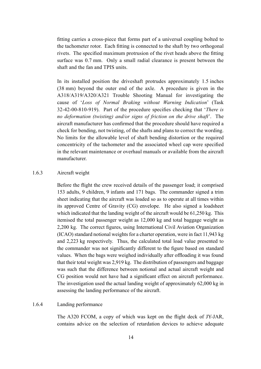fitting carries a cross-piece that forms part of a universal coupling bolted to the tachometer rotor. Each fitting is connected to the shaft by two orthogonal rivets. The specified maximum protrusion of the rivet heads above the fitting surface was 0.7 mm. Only a small radial clearance is present between the shaft and the fan and TPIS units.

In its installed position the driveshaft protrudes approximately 1.5 inches (38 mm) beyond the outer end of the axle. A procedure is given in the A318/A319/A320/A321 Trouble Shooting Manual for investigating the cause of '*Loss of Normal Braking without Warning Indication*' (Task 32‑42‑00‑810‑919). Part of the procedure specifies checking that '*There is no deformation (twisting) and/or signs of friction on the drive shaft*'. The aircraft manufacturer has confirmed that the procedure should have required a check for bending, not twisting, of the shafts and plans to correct the wording. No limits for the allowable level of shaft bending distortion or the required concentricity of the tachometer and the associated wheel cap were specified in the relevant maintenance or overhaul manuals or available from the aircraft manufacturer.

#### 1.6.3 Aircraft weight

Before the flight the crew received details of the passenger load; it comprised 153 adults, 9 children, 9 infants and 171 bags. The commander signed a trim sheet indicating that the aircraft was loaded so as to operate at all times within its approved Centre of Gravity (CG) envelope. He also signed a loadsheet which indicated that the landing weight of the aircraft would be 61,250 kg. This itemised the total passenger weight as 12,000 kg and total baggage weight as 2,200 kg. The correct figures, using International Civil Aviation Organization (ICAO) standard notional weights for a charter operation, were in fact 11,943 kg and 2,223 kg respectively. Thus, the calculated total load value presented to the commander was not significantly different to the figure based on standard values. When the bags were weighed individually after offloading it was found that their total weight was 2,919 kg. The distribution of passengers and baggage was such that the difference between notional and actual aircraft weight and CG position would not have had a significant effect on aircraft performance. The investigation used the actual landing weight of approximately 62,000 kg in assessing the landing performance of the aircraft.

#### 1.6.4 Landing performance

The A320 FCOM, a copy of which was kept on the flight deck of JY‑JAR, contains advice on the selection of retardation devices to achieve adequate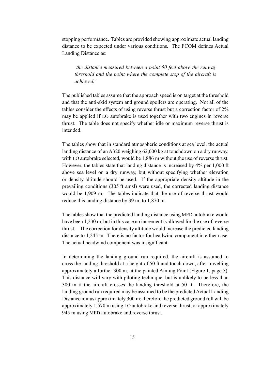stopping performance. Tables are provided showing approximate actual landing distance to be expected under various conditions. The FCOM defines Actual Landing Distance as:

*'the distance measured between a point 50 feet above the runway threshold and the point where the complete stop of the aircraft is achieved.'*

The published tables assume that the approach speed is on target at the threshold and that the anti-skid system and ground spoilers are operating. Not all of the tables consider the effects of using reverse thrust but a correction factor of 2% may be applied if LO autobrake is used together with two engines in reverse thrust. The table does not specify whether idle or maximum reverse thrust is intended.

The tables show that in standard atmospheric conditions at sea level, the actual landing distance of an A320 weighing 62,000 kg at touchdown on a dry runway, with LO autobrake selected, would be 1,886 m without the use of reverse thrust. However, the tables state that landing distance is increased by 4% per 1,000 ft above sea level on a dry runway, but without specifying whether elevation or density altitude should be used. If the appropriate density altitude in the prevailing conditions (305 ft amsl) were used, the corrected landing distance would be 1,909 m. The tables indicate that the use of reverse thrust would reduce this landing distance by 39 m, to 1,870 m.

The tables show that the predicted landing distance using MED autobrake would have been 1,230 m, but in this case no increment is allowed for the use of reverse thrust. The correction for density altitude would increase the predicted landing distance to 1,245 m. There is no factor for headwind component in either case. The actual headwind component was insignificant.

In determining the landing ground run required, the aircraft is assumed to cross the landing threshold at a height of 50 ft and touch down, after travelling approximately a further 300 m, at the painted Aiming Point (Figure 1, page 5). This distance will vary with piloting technique, but is unlikely to be less than 300 m if the aircraft crosses the landing threshold at 50 ft. Therefore, the landing ground run required may be assumed to be the predicted Actual Landing Distance minus approximately 300 m; therefore the predicted ground roll will be approximately 1,570 m using LO autobrake and reverse thrust, or approximately 945 m using MED autobrake and reverse thrust.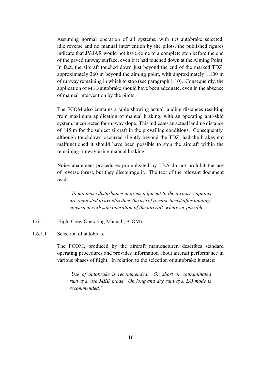Assuming normal operation of all systems, with LO autobrake selected, idle reverse and no manual intervention by the pilots, the published figures indicate that JY-JAR would not have come to a complete stop before the end of the paved runway surface, even if it had touched down at the Aiming Point. In fact, the aircraft touched down just beyond the end of the marked TDZ, approximately 360 m beyond the aiming point, with approximately 1,100 m of runway remaining in which to stop (see paragraph 1.10). Consequently, the application of MED autobrake should have been adequate, even in the absence of manual intervention by the pilots.

The FCOM also contains a table showing actual landing distances resulting from maximum application of manual braking, with an operating anti-skid system, uncorrected for runway slope. This indicates an actual landing distance of 845 m for the subject aircraft in the prevailing conditions. Consequently, although touchdown occurred slightly beyond the TDZ, had the brakes not malfunctioned it should have been possible to stop the aircraft within the remaining runway using manual braking.

Noise abatement procedures promulgated by LBA do not prohibit the use of reverse thrust, but they discourage it. The text of the relevant document reads:

*'To minimise disturbance in areas adjacent to the airport, captains are requested to avoid/reduce the use of reverse thrust after landing, consistent with safe operation of the aircraft, wherever possible.'*

1.6.5 Flight Crew Operating Manual (FCOM)

#### 1.6.5.1 Selection of autobrake

The FCOM, produced by the aircraft manufacturer, describes standard operating procedures and provides information about aircraft performance in various phases of flight. In relation to the selection of autobrake it states:

*'Use of autobrake is recommended. On short or contaminated runways, use MED mode. On long and dry runways, LO mode is recommended.'*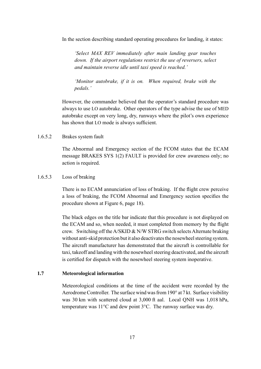In the section describing standard operating procedures for landing, it states:

*'Select MAX REV immediately after main landing gear touches down. If the airport regulations restrict the use of reversers, select and maintain reverse idle until taxi speed is reached.'*

*'Monitor autobrake, if it is on. When required, brake with the pedals.'*

However, the commander believed that the operator's standard procedure was always to use LO autobrake. Other operators of the type advise the use of MED autobrake except on very long, dry, runways where the pilot's own experience has shown that LO mode is always sufficient.

1.6.5.2 Brakes system fault

The Abnormal and Emergency section of the FCOM states that the ECAM message BRAKES SYS 1(2) FAULT is provided for crew awareness only; no action is required.

#### 1.6.5.3 Loss of braking

There is no ECAM annunciation of loss of braking. If the flight crew perceive a loss of braking, the FCOM Abnormal and Emergency section specifies the procedure shown at Figure 6, page 18).

The black edges on the title bar indicate that this procedure is not displayed on the ECAM and so, when needed, it must completed from memory by the flight crew. Switching off the A/SKID & N/W STRG switch selects Alternate braking without anti-skid protection but it also deactivates the nosewheel steering system. The aircraft manufacturer has demonstrated that the aircraft is controllable for taxi, takeoff and landing with the nosewheel steering deactivated, and the aircraft is certified for dispatch with the nosewheel steering system inoperative.

#### **1.7 Meteorological information**

Meteorological conditions at the time of the accident were recorded by the Aerodrome Controller. The surface wind was from 190° at 7 kt. Surface visibility was 30 km with scattered cloud at 3,000 ft aal. Local QNH was 1,018 hPa, temperature was 11°C and dew point 3°C. The runway surface was dry.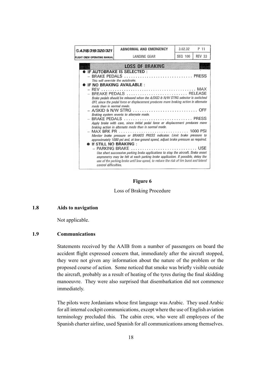| ©A318/319/320/321                                                                                                                                                                                   |                       | ABNORMAL AND EMERGENCY                                                                                                                                                                                                                                                                 |  | 3.02.32 | P 11          |  |  |  |
|-----------------------------------------------------------------------------------------------------------------------------------------------------------------------------------------------------|-----------------------|----------------------------------------------------------------------------------------------------------------------------------------------------------------------------------------------------------------------------------------------------------------------------------------|--|---------|---------------|--|--|--|
| LIGHT CREW OPERATING MANUAL                                                                                                                                                                         |                       | LANDING GEAR                                                                                                                                                                                                                                                                           |  | SEQ 100 | <b>REV 33</b> |  |  |  |
|                                                                                                                                                                                                     |                       |                                                                                                                                                                                                                                                                                        |  |         |               |  |  |  |
|                                                                                                                                                                                                     |                       | <b>LOSS OF BRAKING</b>                                                                                                                                                                                                                                                                 |  |         |               |  |  |  |
|                                                                                                                                                                                                     |                       | IF AUTOBRAKE IS SELECTED :                                                                                                                                                                                                                                                             |  |         |               |  |  |  |
|                                                                                                                                                                                                     |                       | - BRAKE PEDALS  PRESS                                                                                                                                                                                                                                                                  |  |         |               |  |  |  |
|                                                                                                                                                                                                     |                       | This will override the autobrake.                                                                                                                                                                                                                                                      |  |         |               |  |  |  |
| <b>O IF NO BRAKING AVAILABLE :</b>                                                                                                                                                                  |                       |                                                                                                                                                                                                                                                                                        |  |         |               |  |  |  |
| – BREAKE PEDALS  RELEASE<br>Brake pedals should be released when the A/SKID & N/W STRG selector is switched<br>OFF, since the pedal force or displacement produces more braking action in alternate |                       |                                                                                                                                                                                                                                                                                        |  |         |               |  |  |  |
| mode than in normal mode.                                                                                                                                                                           |                       |                                                                                                                                                                                                                                                                                        |  |         |               |  |  |  |
| - A/SKID & N/W STRG  OFF                                                                                                                                                                            |                       |                                                                                                                                                                                                                                                                                        |  |         |               |  |  |  |
| Braking system reverts to alternate mode.                                                                                                                                                           |                       |                                                                                                                                                                                                                                                                                        |  |         |               |  |  |  |
| BRAKE PEDALS  PRESS                                                                                                                                                                                 |                       |                                                                                                                                                                                                                                                                                        |  |         |               |  |  |  |
| Apply brake with care, since initial pedal force or displacement produces more<br>braking action in alternate mode than in normal mode.                                                             |                       |                                                                                                                                                                                                                                                                                        |  |         |               |  |  |  |
|                                                                                                                                                                                                     |                       |                                                                                                                                                                                                                                                                                        |  |         |               |  |  |  |
| <b>O</b> If STILL NO BRAKING :                                                                                                                                                                      |                       | Monitor brake pressure or BRAKES PRESS indicator. Limit brake pressure to<br>approximately 1000 psi and, at low ground speed, adjust brake pressure as required.                                                                                                                       |  |         |               |  |  |  |
|                                                                                                                                                                                                     | control difficulties. | – PARKING BRAKE  USE<br>Use short successive parking brake applications to stop the aircraft. Brake onset<br>asymmetry may be felt at each parking brake application. If possible, delay the<br>use of the parking brake until low speed, to reduce the risk of tire burst and lateral |  |         |               |  |  |  |

#### **Figure 6**

Loss of Braking Procedure

#### **1.8 Aids to navigation**

Not applicable.

#### **1.9 Communications**

Statements received by the AAIB from a number of passengers on board the accident flight expressed concern that, immediately after the aircraft stopped, they were not given any information about the nature of the problem or the proposed course of action. Some noticed that smoke was briefly visible outside the aircraft, probably as a result of heating of the tyres during the final skidding manoeuvre. They were also surprised that disembarkation did not commence immediately.

The pilots were Jordanians whose first language was Arabic. They used Arabic for all internal cockpit communications, except where the use of English aviation terminology precluded this. The cabin crew, who were all employees of the Spanish charter airline, used Spanish for all communications among themselves.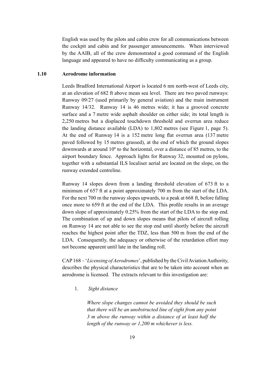English was used by the pilots and cabin crew for all communications between the cockpit and cabin and for passenger announcements. When interviewed by the AAIB, all of the crew demonstrated a good command of the English language and appeared to have no difficulty communicating as a group.

#### **1.10 Aerodrome information**

Leeds Bradford International Airport is located 6 nm north-west of Leeds city, at an elevation of 682 ft above mean sea level. There are two paved runways: Runway 09/27 (used primarily by general aviation) and the main instrument Runway 14/32. Runway 14 is 46 metres wide; it has a grooved concrete surface and a 7 metre wide asphalt shoulder on either side; its total length is 2,250 metres but a displaced touchdown threshold and overrun area reduce the landing distance available (LDA) to 1,802 metres (see Figure 1, page 5). At the end of Runway 14 is a 152 metre long flat overrun area (137 metre paved followed by 15 metres grassed), at the end of which the ground slopes downwards at around 10º to the horizontal, over a distance of 85 metres, to the airport boundary fence. Approach lights for Runway 32, mounted on pylons, together with a substantial ILS localiser aerial are located on the slope, on the runway extended centreline.

Runway 14 slopes down from a landing threshold elevation of 673 ft to a minimum of 657 ft at a point approximately 700 m from the start of the LDA. For the next 700 m the runway slopes upwards, to a peak at 668 ft, before falling once more to 659 ft at the end of the LDA. This profile results in an average down slope of approximately 0.25% from the start of the LDA to the stop end. The combination of up and down slopes means that pilots of aircraft rolling on Runway 14 are not able to see the stop end until shortly before the aircraft reaches the highest point after the TDZ, less than 500 m from the end of the LDA. Consequently, the adequacy or otherwise of the retardation effort may not become apparent until late in the landing roll.

CAP 168 – '*Licensing of Aerodromes*', published by the Civil Aviation Authority, describes the physical characteristics that are to be taken into account when an aerodrome is licensed. The extracts relevant to this investigation are:

1. *Sight distance*

*Where slope changes cannot be avoided they should be such that there will be an unobstructed line of sight from any point 3 m above the runway within a distance of at least half the length of the runway or 1,200 m whichever is less.*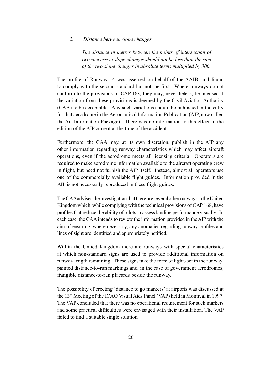#### *2. Distance between slope changes*

*The distance in metres between the points of intersection of two successive slope changes should not be less than the sum of the two slope changes in absolute terms multiplied by 300.* 

The profile of Runway 14 was assessed on behalf of the AAIB, and found to comply with the second standard but not the first. Where runways do not conform to the provisions of CAP 168, they may, nevertheless, be licensed if the variation from these provisions is deemed by the Civil Aviation Authority (CAA) to be acceptable. Any such variations should be published in the entry for that aerodrome in the Aeronautical Information Publication (AIP, now called the Air Information Package). There was no information to this effect in the edition of the AIP current at the time of the accident.

Furthermore, the CAA may, at its own discretion, publish in the AIP any other information regarding runway characteristics which may affect aircraft operations, even if the aerodrome meets all licensing criteria. Operators are required to make aerodrome information available to the aircraft operating crew in flight, but need not furnish the AIP itself. Instead, almost all operators use one of the commercially available flight guides. Information provided in the AIP is not necessarily reproduced in these flight guides.

The CAA advised the investigation that there are several other runways in the United Kingdom which, while complying with the technical provisions of CAP 168, have profiles that reduce the ability of pilots to assess landing performance visually. In each case, the CAA intends to review the information provided in the AIP with the aim of ensuring, where necessary, any anomalies regarding runway profiles and lines of sight are identified and appropriately notified.

Within the United Kingdom there are runways with special characteristics at which non-standard signs are used to provide additional information on runway length remaining. These signs take the form of lights set in the runway, painted distance-to-run markings and, in the case of government aerodromes, frangible distance-to-run placards beside the runway.

The possibility of erecting 'distance to go markers' at airports was discussed at the 13th Meeting of the ICAO Visual Aids Panel (VAP) held in Montreal in 1997. The VAP concluded that there was no operational requirement for such markers and some practical difficulties were envisaged with their installation. The VAP failed to find a suitable single solution.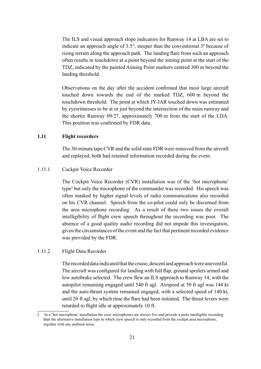The ILS and visual approach slope indicators for Runway 14 at LBA are set to indicate an approach angle of 3.5°, steeper than the conventional 3º because of rising terrain along the approach path. The landing flare from such an approach often results in touchdown at a point beyond the aiming point at the start of the TDZ, indicated by the painted Aiming Point markers centred 300 m beyond the landing threshold.

Observations on the day after the accident confirmed that most large aircraft touched down towards the end of the marked TDZ, 600 m beyond the touchdown threshold. The point at which JY‑JAR touched down was estimated by eyewitnesses to be at or just beyond the intersection of the main runway and the shorter Runway 09/27, approximately 700 m from the start of the LDA. This position was confirmed by FDR data.

#### **1.11 Flight recorders**

The 30-minute tape CVR and the solid state FDR were removed from the aircraft and replayed; both had retained information recorded during the event.

#### 1.11.1 Cockpit Voice Recorder

The Cockpit Voice Recorder (CVR) installation was of the 'hot microphone' type<sup>2</sup> but only the microphone of the commander was recorded. His speech was often masked by higher signal levels of radio communications also recorded on his CVR channel. Speech from the co-pilot could only be discerned from the area microphone recording. As a result of these two issues the overall intelligibility of flight crew speech throughout the recording was poor. The absence of a good quality audio recording did not impede this investigation, given the circumstances of the event and the fact that pertinent recorded evidence was provided by the FDR.

#### 1.11.2 Flight Data Recorder

The recorded data indicated that the cruise, descent and approach were uneventful. The aircraft was configured for landing with full flap, ground spoilers armed and low autobrake selected. The crew flew an ILS approach to Runway 14, with the autopilot remaining engaged until 540 ft agl. Airspeed at 50 ft agl was 144 kt and the auto-thrust system remained engaged, with a selected speed of 140 kt, until 20 ft agl, by which time the flare had been initiated. The thrust levers were retarded to flight idle at approximately 10 ft.

In a 'hot microphone' installation the crew microphones are always live and provide a more intelligible recording than the alternative installation type in which crew speech is only recorded from the cockpit area microphone, together with any ambient noise.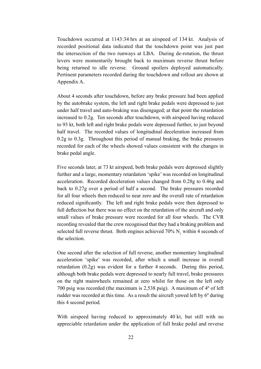Touchdown occurred at 1143:34 hrs at an airspeed of 134 kt. Analysis of recorded positional data indicated that the touchdown point was just past the intersection of the two runways at LBA. During de-rotation, the thrust levers were momentarily brought back to maximum reverse thrust before being returned to idle reverse. Ground spoilers deployed automatically. Pertinent parameters recorded during the touchdown and rollout are shown at Appendix A.

About 4 seconds after touchdown, before any brake pressure had been applied by the autobrake system, the left and right brake pedals were depressed to just under half travel and auto-braking was disengaged; at that point the retardation increased to 0.2g. Ten seconds after touchdown, with airspeed having reduced to 93 kt, both left and right brake pedals were depressed further, to just beyond half travel. The recorded values of longitudinal deceleration increased from 0.2g to 0.3g. Throughout this period of manual braking, the brake pressures recorded for each of the wheels showed values consistent with the changes in brake pedal angle.

Five seconds later, at 73 kt airspeed, both brake pedals were depressed slightly further and a large, momentary retardation 'spike' was recorded on longitudinal acceleration. Recorded deceleration values changed from 0.28g to 0.46g and back to 0.27g over a period of half a second. The brake pressures recorded for all four wheels then reduced to near zero and the overall rate of retardation reduced significantly. The left and right brake pedals were then depressed to full deflection but there was no effect on the retardation of the aircraft and only small values of brake pressure were recorded for all four wheels. The CVR recording revealed that the crew recognised that they had a braking problem and selected full reverse thrust. Both engines achieved  $70\%$  N<sub>1</sub> within 4 seconds of the selection.

One second after the selection of full reverse, another momentary longitudinal acceleration 'spike' was recorded, after which a small increase in overall retardation (0.2g) was evident for a further 4 seconds. During this period, although both brake pedals were depressed to nearly full travel, brake pressures on the right mainwheels remained at zero whilst for those on the left only 700 psig was recorded (the maximum is 2,538 psig). A maximum of 4º of left rudder was recorded at this time. As a result the aircraft yawed left by 6º during this 4 second period.

With airspeed having reduced to approximately 40 kt, but still with no appreciable retardation under the application of full brake pedal and reverse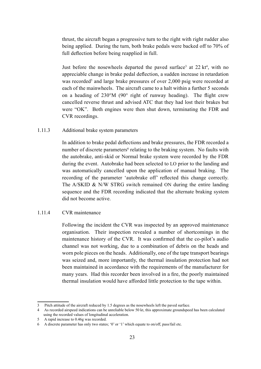thrust, the aircraft began a progressive turn to the right with right rudder also being applied. During the turn, both brake pedals were backed off to 70% of full deflection before being reapplied in full.

Just before the nosewheels departed the paved surface<sup>3</sup> at  $22 \text{ kt}^4$ , with no appreciable change in brake pedal deflection, a sudden increase in retardation was recorded<sup>5</sup> and large brake pressures of over 2,000 psig were recorded at each of the mainwheels. The aircraft came to a halt within a further 5 seconds on a heading of 230°M (90° right of runway heading). The flight crew cancelled reverse thrust and advised ATC that they had lost their brakes but were "OK". Both engines were then shut down, terminating the FDR and CVR recordings.

#### 1.11.3 Additional brake system parameters

In addition to brake pedal deflections and brake pressures, the FDR recorded a number of discrete parameters<sup>6</sup> relating to the braking system. No faults with the autobrake, anti-skid or Normal brake system were recorded by the FDR during the event. Autobrake had been selected to LO prior to the landing and was automatically cancelled upon the application of manual braking. The recording of the parameter 'autobrake off' reflected this change correctly. The A/SKID & N/W STRG switch remained ON during the entire landing sequence and the FDR recording indicated that the alternate braking system did not become active.

#### 1.11.4 CVR maintenance

Following the incident the CVR was inspected by an approved maintenance organisation. Their inspection revealed a number of shortcomings in the maintenance history of the CVR. It was confirmed that the co-pilot's audio channel was not working, due to a combination of debris on the heads and worn pole pieces on the heads. Additionally, one of the tape transport bearings was seized and, more importantly, the thermal insulation protection had not been maintained in accordance with the requirements of the manufacturer for many years. Had this recorder been involved in a fire, the poorly maintained thermal insulation would have afforded little protection to the tape within.

<sup>3</sup> Pitch attitude of the aircraft reduced by 1.5 degrees as the nosewheels left the paved surface.

As recorded airspeed indications can be unreliable below 50 kt, this approximate groundspeed has been calculated using the recorded values of longitudinal acceleration.

A rapid increase to 0.46g was recorded.

A discrete parameter has only two states; '0' or '1' which equate to on/off, pass/fail etc.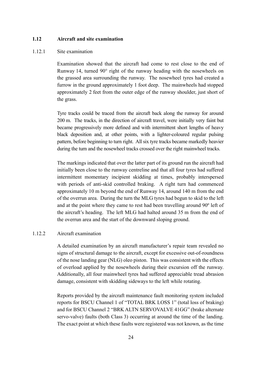#### **1.12 Aircraft and site examination**

#### 1.12.1 Site examination

Examination showed that the aircraft had come to rest close to the end of Runway 14, turned 90° right of the runway heading with the nosewheels on the grassed area surrounding the runway. The nosewheel tyres had created a furrow in the ground approximately 1 foot deep. The mainwheels had stopped approximately 2 feet from the outer edge of the runway shoulder, just short of the grass.

Tyre tracks could be traced from the aircraft back along the runway for around 200 m. The tracks, in the direction of aircraft travel, were initially very faint but became progressively more defined and with intermittent short lengths of heavy black deposition and, at other points, with a lighter-coloured regular pulsing pattern, before beginning to turn right. All six tyre tracks became markedly heavier during the turn and the nosewheel tracks crossed over the right mainwheel tracks.

The markings indicated that over the latter part of its ground run the aircraft had initially been close to the runway centreline and that all four tyres had suffered intermittent momentary incipient skidding at times, probably interspersed with periods of anti-skid controlled braking. A right turn had commenced approximately 10 m beyond the end of Runway 14, around 140 m from the end of the overrun area. During the turn the MLG tyres had begun to skid to the left and at the point where they came to rest had been travelling around 90º left of the aircraft's heading. The left MLG had halted around 35 m from the end of the overrun area and the start of the downward sloping ground.

#### 1.12.2 Aircraft examination

A detailed examination by an aircraft manufacturer's repair team revealed no signs of structural damage to the aircraft, except for excessive out-of-roundness of the nose landing gear (NLG) oleo piston. This was consistent with the effects of overload applied by the nosewheels during their excursion off the runway. Additionally, all four mainwheel tyres had suffered appreciable tread abrasion damage, consistent with skidding sideways to the left while rotating.

Reports provided by the aircraft maintenance fault monitoring system included reports for BSCU Channel 1 of "TOTAL BRK LOSS 1" (total loss of braking) and for BSCU Channel 2 "BRK ALTN SERVOVALVE 41GG" (brake alternate servo-valve) faults (both Class 3) occurring at around the time of the landing. The exact point at which these faults were registered was not known, as the time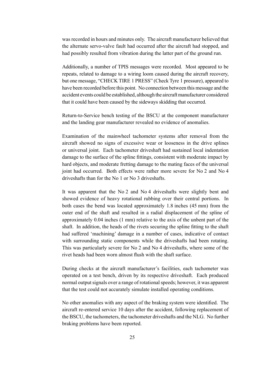was recorded in hours and minutes only. The aircraft manufacturer believed that the alternate servo-valve fault had occurred after the aircraft had stopped, and had possibly resulted from vibration during the latter part of the ground run.

Additionally, a number of TPIS messages were recorded. Most appeared to be repeats, related to damage to a wiring loom caused during the aircraft recovery, but one message, "CHECK TIRE 1 PRESS" (Check Tyre 1 pressure), appeared to have been recorded before this point. No connection between this message and the accident events could be established, although the aircraft manufacturer considered that it could have been caused by the sideways skidding that occurred.

Return-to-Service bench testing of the BSCU at the component manufacturer and the landing gear manufacturer revealed no evidence of anomalies.

Examination of the mainwheel tachometer systems after removal from the aircraft showed no signs of excessive wear or looseness in the drive splines or universal joint. Each tachometer driveshaft had sustained local indentation damage to the surface of the spline fittings, consistent with moderate impact by hard objects, and moderate fretting damage to the mating faces of the universal joint had occurred. Both effects were rather more severe for No 2 and No 4 driveshafts than for the No 1 or No 3 driveshafts.

It was apparent that the No 2 and No 4 driveshafts were slightly bent and showed evidence of heavy rotational rubbing over their central portions. In both cases the bend was located approximately 1.8 inches (45 mm) from the outer end of the shaft and resulted in a radial displacement of the spline of approximately 0.04 inches (1 mm) relative to the axis of the unbent part of the shaft. In addition, the heads of the rivets securing the spline fitting to the shaft had suffered 'machining' damage in a number of cases, indicative of contact with surrounding static components while the driveshafts had been rotating. This was particularly severe for No 2 and No 4 driveshafts, where some of the rivet heads had been worn almost flush with the shaft surface.

During checks at the aircraft manufacturer's facilities, each tachometer was operated on a test bench, driven by its respective driveshaft. Each produced normal output signals over a range of rotational speeds; however, it was apparent that the test could not accurately simulate installed operating conditions.

No other anomalies with any aspect of the braking system were identified. The aircraft re-entered service 10 days after the accident, following replacement of the BSCU, the tachometers, the tachometer driveshafts and the NLG. No further braking problems have been reported.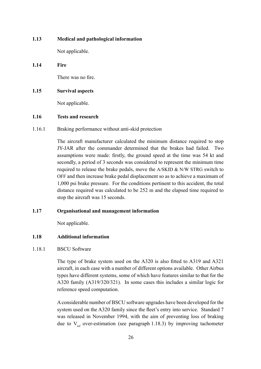#### **1.13 Medical and pathological information**

Not applicable.

#### **1.14 Fire**

There was no fire.

#### **1.15 Survival aspects**

Not applicable.

#### **1.16 Tests and research**

#### 1.16.1 Braking performance without anti-skid protection

The aircraft manufacturer calculated the minimum distance required to stop JY‑JAR after the commander determined that the brakes had failed. Two assumptions were made: firstly, the ground speed at the time was 54 kt and secondly, a period of 3 seconds was considered to represent the minimum time required to release the brake pedals, move the  $A/SKID \& N/W$  STRG switch to OFF and then increase brake pedal displacement so as to achieve a maximum of 1,000 psi brake pressure. For the conditions pertinent to this accident, the total distance required was calculated to be 252 m and the elapsed time required to stop the aircraft was 15 seconds.

#### **1.17 Organisational and management information**

Not applicable.

### **1.18 Additional information**

## 1.18.1 BSCU Software

The type of brake system used on the A320 is also fitted to A319 and A321 aircraft, in each case with a number of different options available. Other Airbus types have different systems, some of which have features similar to that for the A320 family (A319/320/321). In some cases this includes a similar logic for reference speed computation.

A considerable number of BSCU software upgrades have been developed for the system used on the A320 family since the fleet's entry into service. Standard 7 was released in November 1994, with the aim of preventing loss of braking due to  $V_{ref}$  over-estimation (see paragraph 1.18.3) by improving tachometer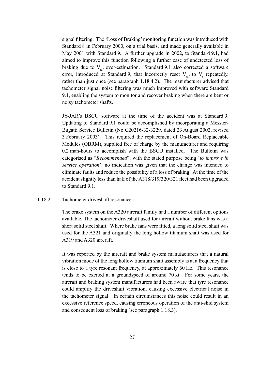signal filtering. The 'Loss of Braking' monitoring function was introduced with Standard 8 in February 2000, on a trial basis, and made generally available in May 2001 with Standard 9. A further upgrade in 2002, to Standard 9.1, had aimed to improve this function following a further case of undetected loss of braking due to  $V_{ref}$  over-estimation. Standard 9.1 also corrected a software error, introduced at Standard 9, that incorrectly reset  $V_{ref}$  to  $V_{ref}$  repeatedly, rather than just once (see paragraph 1.18.4.2). The manufacturer advised that tachometer signal noise filtering was much improved with software Standard 9.1, enabling the system to monitor and recover braking when there are bent or noisy tachometer shafts.

JY‑JAR's BSCU software at the time of the accident was at Standard 9. Updating to Standard 9.1 could be accomplished by incorporating a Messier-Bugatti Service Bulletin (No C20216-32-3229, dated 23 August 2002, revised 3 February 2003). This required the replacement of On-Board Replaceable Modules (OBRM), supplied free of charge by the manufacturer and requiring 0.2 man-hours to accomplish with the BSCU installed. The Bulletin was categorised as "*Recommended*", with the stated purpose being '*to improve in service operation*'; no indication was given that the change was intended to eliminate faults and reduce the possibility of a loss of braking. At the time of the accident slightly less than half of the A318/319/320/321 fleet had been upgraded to Standard 9.1.

#### 1.18.2 Tachometer driveshaft resonance

The brake system on the A320 aircraft family had a number of different options available. The tachometer driveshaft used for aircraft without brake fans was a short solid steel shaft. Where brake fans were fitted, a long solid steel shaft was used for the A321 and originally the long hollow titanium shaft was used for A319 and A320 aircraft.

It was reported by the aircraft and brake system manufacturers that a natural vibration mode of the long hollow titanium shaft assembly is at a frequency that is close to a tyre resonant frequency, at approximately 60 Hz. This resonance tends to be excited at a groundspeed of around 70 kt. For some years, the aircraft and braking system manufacturers had been aware that tyre resonance could amplify the driveshaft vibration, causing excessive electrical noise in the tachometer signal. In certain circumstances this noise could result in an excessive reference speed, causing erroneous operation of the anti-skid system and consequent loss of braking (see paragraph 1.18.3).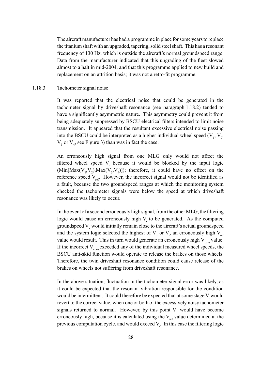The aircraft manufacturer has had a programme in place for some years to replace the titanium shaft with an upgraded, tapering, solid steel shaft. This has a resonant frequency of 130 Hz, which is outside the aircraft's normal groundspeed range. Data from the manufacturer indicated that this upgrading of the fleet slowed almost to a halt in mid-2004, and that this programme applied to new build and replacement on an attrition basis; it was not a retro-fit programme.

#### 1.18.3 Tachometer signal noise

It was reported that the electrical noise that could be generated in the tachometer signal by driveshaft resonance (see paragraph 1.18.2) tended to have a significantly asymmetric nature. This asymmetry could prevent it from being adequately suppressed by BSCU electrical filters intended to limit noise transmission. It appeared that the resultant excessive electrical noise passing into the BSCU could be interpreted as a higher individual wheel speed  $(V_1, V_2,$  $V_3$  or  $V_4$ , see Figure 3) than was in fact the case.

An erroneously high signal from one MLG only would not affect the filtered wheel speed  $V<sub>r</sub>$  because it would be blocked by the input logic  $(\text{Min}[\text{Max}(V_1, V_2), \text{Max}(V_3, V_4)]$ ; therefore, it could have no effect on the reference speed  $V_{ref}$ . However, the incorrect signal would not be identified as a fault, because the two groundspeed ranges at which the monitoring system checked the tachometer signals were below the speed at which driveshaft resonance was likely to occur.

In the event of a second erroneously high signal, from the other MLG, the filtering logic would cause an erroneously high  $V_r$  to be generated. As the computed groundspeed  $V_{x}$  would initially remain close to the aircraft's actual groundspeed and the system logic selected the highest of  $V_x$  or  $V_r$ , an erroneously high  $V_{ref}$ value would result. This in turn would generate an erroneously high  $V_{\text{cons}}$  value. If the incorrect  $V_{\text{cons}}$  exceeded any of the individual measured wheel speeds, the BSCU anti-skid function would operate to release the brakes on those wheels. Therefore, the twin driveshaft resonance condition could cause release of the brakes on wheels not suffering from driveshaft resonance.

In the above situation, fluctuation in the tachometer signal error was likely, as it could be expected that the resonant vibration responsible for the condition would be intermittent. It could therefore be expected that at some stage  $V<sub>r</sub>$  would revert to the correct value, when one or both of the excessively noisy tachometer signals returned to normal. However, by this point  $V_x$  would have become erroneously high, because it is calculated using the  $V_{ref}$  value determined at the previous computation cycle, and would exceed  $V<sub>r</sub>$ . In this case the filtering logic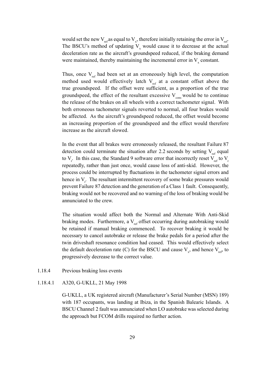would set the new  $V_{ref}$  as equal to  $V_{x}$ , therefore initially retaining the error in  $V_{ref}$ . The BSCU's method of updating  $V_x$  would cause it to decrease at the actual deceleration rate as the aircraft's groundspeed reduced, if the braking demand were maintained, thereby maintaining the incremental error in  $V_x$  constant.

Thus, once  $V_{ref}$  had been set at an erroneously high level, the computation method used would effectively latch  $V_{ref}$  at a constant offset above the true groundspeed. If the offset were sufficient, as a proportion of the true groundspeed, the effect of the resultant excessive  $V_{\text{cons}}$  would be to continue the release of the brakes on all wheels with a correct tachometer signal. With both erroneous tachometer signals reverted to normal, all four brakes would be affected. As the aircraft's groundspeed reduced, the offset would become an increasing proportion of the groundspeed and the effect would therefore increase as the aircraft slowed.

In the event that all brakes were erroneously released, the resultant Failure 87 detection could terminate the situation after 2.2 seconds by setting  $V_{ref}$  equal to  $V_r$ . In this case, the Standard 9 software error that incorrectly reset  $V_{ref}$  to  $V_r$ repeatedly, rather than just once, would cause loss of anti-skid. However, the process could be interrupted by fluctuations in the tachometer signal errors and hence in  $V_r$ . The resultant intermittent recovery of some brake pressures would prevent Failure 87 detection and the generation of a Class 1 fault. Consequently, braking would not be recovered and no warning of the loss of braking would be annunciated to the crew.

The situation would affect both the Normal and Alternate With Anti-Skid braking modes. Furthermore, a  $V_{ref}$  offset occurring during autobraking would be retained if manual braking commenced. To recover braking it would be necessary to cancel autobrake or release the brake pedals for a period after the twin driveshaft resonance condition had ceased. This would effectively select the default deceleration rate (C) for the BSCU and cause  $V_{x}$ , and hence  $V_{ref}$  to progressively decrease to the correct value.

1.18.4 Previous braking loss events

### 1.18.4.1 A320, G‑UKLL, 21 May 1998

G‑UKLL, a UK registered aircraft (Manufacturer's Serial Number (MSN) 189) with 187 occupants, was landing at Ibiza, in the Spanish Balearic Islands. A BSCU Channel 2 fault was annunciated when LO autobrake was selected during the approach but FCOM drills required no further action.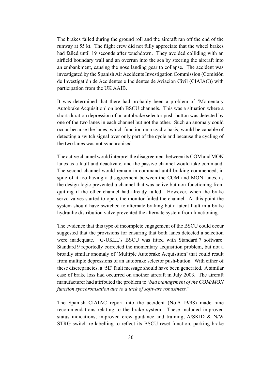The brakes failed during the ground roll and the aircraft ran off the end of the runway at 55 kt. The flight crew did not fully appreciate that the wheel brakes had failed until 19 seconds after touchdown. They avoided colliding with an airfield boundary wall and an overrun into the sea by steering the aircraft into an embankment, causing the nose landing gear to collapse. The accident was investigated by the Spanish Air Accidents Investigation Commission (Comisión de Investigatión de Accidentes e Incidentes de Aviaçion Civil (CIAIAC)) with participation from the UK AAIB.

It was determined that there had probably been a problem of 'Momentary Autobrake Acquisition' on both BSCU channels. This was a situation where a short-duration depression of an autobrake selector push-button was detected by one of the two lanes in each channel but not the other. Such an anomaly could occur because the lanes, which function on a cyclic basis, would be capable of detecting a switch signal over only part of the cycle and because the cycling of the two lanes was not synchronised.

The active channel would interpret the disagreement between its COM and MON lanes as a fault and deactivate, and the passive channel would take command. The second channel would remain in command until braking commenced, in spite of it too having a disagreement between the COM and MON lanes, as the design logic prevented a channel that was active but non-functioning from quitting if the other channel had already failed. However, when the brake servo-valves started to open, the monitor failed the channel. At this point the system should have switched to alternate braking but a latent fault in a brake hydraulic distribution valve prevented the alternate system from functioning.

The evidence that this type of incomplete engagement of the BSCU could occur suggested that the provisions for ensuring that both lanes detected a selection were inadequate. G-UKLL's BSCU was fitted with Standard 7 software. Standard 9 reportedly corrected the momentary acquisition problem, but not a broadly similar anomaly of 'Multiple Autobrake Acquisition' that could result from multiple depressions of an autobrake selector push-button. With either of these discrepancies, a '5E' fault message should have been generated. A similar case of brake loss had occurred on another aircraft in July 2003. The aircraft manufacturer had attributed the problem to '*bad management of the COM/MON function synchronisation due to a lack of software robustness.*'

The Spanish CIAIAC report into the accident (No A-19/98) made nine recommendations relating to the brake system. These included improved status indications, improved crew guidance and training, A/SKID & N/W STRG switch re-labelling to reflect its BSCU reset function, parking brake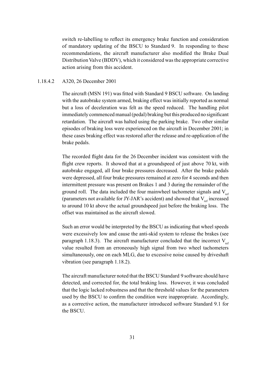switch re-labelling to reflect its emergency brake function and consideration of mandatory updating of the BSCU to Standard 9. In responding to these recommendations, the aircraft manufacturer also modified the Brake Dual Distribution Valve (BDDV), which it considered was the appropriate corrective action arising from this accident.

### 1.18.4.2 A320, 26 December 2001

The aircraft (MSN 191) was fitted with Standard 9 BSCU software. On landing with the autobrake system armed, braking effect was initially reported as normal but a loss of deceleration was felt as the speed reduced. The handling pilot immediately commenced manual (pedal) braking but this produced no significant retardation. The aircraft was halted using the parking brake. Two other similar episodes of braking loss were experienced on the aircraft in December 2001; in these cases braking effect was restored after the release and re-application of the brake pedals.

The recorded flight data for the 26 December incident was consistent with the flight crew reports. It showed that at a groundspeed of just above 70 kt, with autobrake engaged, all four brake pressures decreased. After the brake pedals were depressed, all four brake pressures remained at zero for 4 seconds and then intermittent pressure was present on Brakes 1 and 3 during the remainder of the ground roll. The data included the four mainwheel tachometer signals and  $V_{ref}$ (parameters not available for JY-JAR's accident) and showed that  $V_{ref}$  increased to around 10 kt above the actual groundspeed just before the braking loss. The offset was maintained as the aircraft slowed.

Such an error would be interpreted by the BSCU as indicating that wheel speeds were excessively low and cause the anti-skid system to release the brakes (see paragraph 1.18.3). The aircraft manufacturer concluded that the incorrect  $V_{ref}$ value resulted from an erroneously high signal from two wheel tachometers simultaneously, one on each MLG, due to excessive noise caused by driveshaft vibration (see paragraph 1.18.2).

The aircraft manufacturer noted that the BSCU Standard 9 software should have detected, and corrected for, the total braking loss. However, it was concluded that the logic lacked robustness and that the threshold values for the parameters used by the BSCU to confirm the condition were inappropriate. Accordingly, as a corrective action, the manufacturer introduced software Standard 9.1 for the BSCU.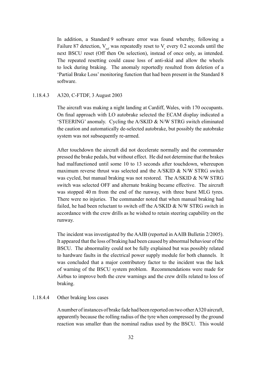In addition, a Standard 9 software error was found whereby, following a Failure 87 detection,  $V_{ref}$  was repeatedly reset to  $V_{ref}$  every 0.2 seconds until the next BSCU reset (Off then On selection), instead of once only, as intended. The repeated resetting could cause loss of anti-skid and allow the wheels to lock during braking. The anomaly reportedly resulted from deletion of a 'Partial Brake Loss' monitoring function that had been present in the Standard 8 software.

## 1.18.4.3 A320, C‑FTDF, 3 August 2003

The aircraft was making a night landing at Cardiff, Wales, with 170 occupants. On final approach with LO autobrake selected the ECAM display indicated a 'STEERING' anomaly. Cycling the A/SKID & N/W STRG switch eliminated the caution and automatically de-selected autobrake, but possibly the autobrake system was not subsequently re-armed.

After touchdown the aircraft did not decelerate normally and the commander pressed the brake pedals, but without effect. He did not determine that the brakes had malfunctioned until some 10 to 13 seconds after touchdown, whereupon maximum reverse thrust was selected and the A/SKID & N/W STRG switch was cycled, but manual braking was not restored. The  $A/SKID \& N/W STRG$ switch was selected OFF and alternate braking became effective. The aircraft was stopped 40 m from the end of the runway, with three burst MLG tyres. There were no injuries. The commander noted that when manual braking had failed, he had been reluctant to switch off the  $A/SKID \& N/W STRG$  switch in accordance with the crew drills as he wished to retain steering capability on the runway.

The incident was investigated by the AAIB (reported in AAIB Bulletin 2/2005). It appeared that the loss of braking had been caused by abnormal behaviour of the BSCU. The abnormality could not be fully explained but was possibly related to hardware faults in the electrical power supply module for both channels. It was concluded that a major contributory factor to the incident was the lack of warning of the BSCU system problem. Recommendations were made for Airbus to improve both the crew warnings and the crew drills related to loss of braking.

## 1.18.4.4 Other braking loss cases

A number of instances of brake fade had been reported on two other A320 aircraft, apparently because the rolling radius of the tyre when compressed by the ground reaction was smaller than the nominal radius used by the BSCU. This would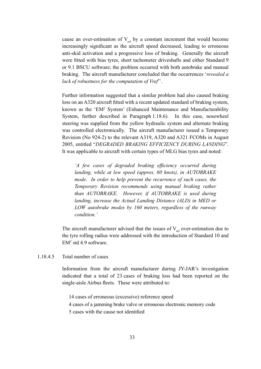cause an over-estimation of  $V_{ref}$  by a constant increment that would become increasingly significant as the aircraft speed decreased, leading to erroneous anti-skid activation and a progressive loss of braking. Generally the aircraft were fitted with bias tyres, short tachometer driveshafts and either Standard 9 or 9.1 BSCU software; the problem occurred with both autobrake and manual braking. The aircraft manufacturer concluded that the occurrences '*revealed a lack of robustness for the computation of Vref*''.

Further information suggested that a similar problem had also caused braking loss on an A320 aircraft fitted with a recent updated standard of braking system, known as the 'EM<sup>2</sup> System' (Enhanced Maintenance and Manufacturability System, further described in Paragraph 1.18.6). In this case, nosewheel steering was supplied from the yellow hydraulic system and alternate braking was controlled electronically. The aircraft manufacturer issued a Temporary Revision (No 924‑2) to the relevant A319, A320 and A321 FCOMs in August 2005, entitled "*DEGRADED BRAKING EFFICIENCY DURING LANDING*". It was applicable to aircraft with certain types of MLG bias tyres and noted:

*'A few cases of degraded braking efficiency occurred during landing, while at low speed (approx. 60 knots), in AUTOBRAKE*  mode. In order to help prevent the recurrence of such cases, the *Temporary Revision recommends using manual braking rather than AUTOBRAKE. However, if AUTOBRAKE is used during landing, increase the Actual Landing Distance (ALD) in MED or LOW autobrake modes by 160 meters, regardless of the runway condition.'*

The aircraft manufacturer advised that the issues of  $V_{ref}$  over-estimation due to the tyre rolling radius were addressed with the introduction of Standard 10 and EM<sup>2</sup> std 4.9 software.

1.18.4.5 Total number of cases

Information from the aircraft manufacturer during JY‑JAR's investigation indicated that a total of 23 cases of braking loss had been reported on the single-aisle Airbus fleets. These were attributed to:

14 cases of erroneous (excessive) reference speed 4 cases of a jamming brake valve or erroneous electronic memory code 5 cases with the cause not identified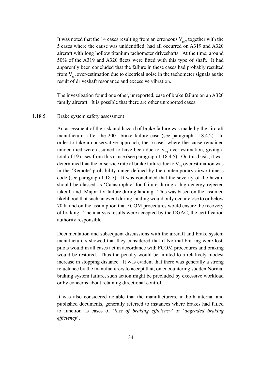It was noted that the 14 cases resulting from an erroneous  $V_{ref}$  together with the 5 cases where the cause was unidentified, had all occurred on A319 and A320 aircraft with long hollow titanium tachometer driveshafts. At the time, around 50% of the A319 and A320 fleets were fitted with this type of shaft. It had apparently been concluded that the failure in these cases had probably resulted from  $V_{\text{ref}}$  over-estimation due to electrical noise in the tachometer signals as the result of driveshaft resonance and excessive vibration.

The investigation found one other, unreported, case of brake failure on an A320 family aircraft. It is possible that there are other unreported cases.

## 1.18.5 Brake system safety assessment

An assessment of the risk and hazard of brake failure was made by the aircraft manufacturer after the 2001 brake failure case (see paragraph 1.18.4.2). In order to take a conservative approach, the 5 cases where the cause remained unidentified were assumed to have been due to  $V_{ref}$  over-estimation, giving a total of 19 cases from this cause (see paragraph 1.18.4.5). On this basis, it was determined that the in-service rate of brake failure due to  $V_{ref}$  overestimation was in the 'Remote' probability range defined by the contemporary airworthiness code (see paragraph 1.18.7). It was concluded that the severity of the hazard should be classed as 'Catastrophic' for failure during a high-energy rejected takeoff and 'Major' for failure during landing. This was based on the assumed likelihood that such an event during landing would only occur close to or below 70 kt and on the assumption that FCOM procedures would ensure the recovery of braking. The analysis results were accepted by the DGAC, the certification authority responsible.

Documentation and subsequent discussions with the aircraft and brake system manufacturers showed that they considered that if Normal braking were lost, pilots would in all cases act in accordance with FCOM procedures and braking would be restored. Thus the penalty would be limited to a relatively modest increase in stopping distance. It was evident that there was generally a strong reluctance by the manufacturers to accept that, on encountering sudden Normal braking system failure, such action might be precluded by excessive workload or by concerns about retaining directional control.

It was also considered notable that the manufacturers, in both internal and published documents, generally referred to instances where brakes had failed to function as cases of '*loss of braking efficiency*' or '*degraded braking efficiency*'.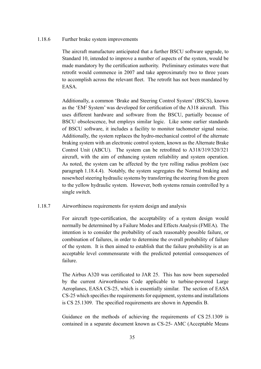### 1.18.6 Further brake system improvements

The aircraft manufacture anticipated that a further BSCU software upgrade, to Standard 10, intended to improve a number of aspects of the system, would be made mandatory by the certification authority. Preliminary estimates were that retrofit would commence in 2007 and take approximately two to three years to accomplish across the relevant fleet. The retrofit has not been mandated by EASA.

Additionally, a common 'Brake and Steering Control System' (BSCS), known as the 'EM2 System' was developed for certification of the A318 aircraft. This uses different hardware and software from the BSCU, partially because of BSCU obsolescence, but employs similar logic. Like some earlier standards of BSCU software, it includes a facility to monitor tachometer signal noise. Additionally, the system replaces the hydro-mechanical control of the alternate braking system with an electronic control system, known as the Alternate Brake Control Unit (ABCU). The system can be retrofitted to A318/319/320/321 aircraft, with the aim of enhancing system reliability and system operation. As noted, the system can be affected by the tyre rolling radius problem (see paragraph 1.18.4.4). Notably, the system segregates the Normal braking and nosewheel steering hydraulic systems by transferring the steering from the green to the yellow hydraulic system. However, both systems remain controlled by a single switch.

## 1.18.7 Airworthiness requirements for system design and analysis

For aircraft type-certification, the acceptability of a system design would normally be determined by a Failure Modes and Effects Analysis (FMEA). The intention is to consider the probability of each reasonably possible failure, or combination of failures, in order to determine the overall probability of failure of the system. It is then aimed to establish that the failure probability is at an acceptable level commensurate with the predicted potential consequences of failure.

The Airbus A320 was certificated to JAR 25. This has now been superseded by the current Airworthiness Code applicable to turbine-powered Large Aeroplanes, EASA CS-25, which is essentially similar. The section of EASA CS-25 which specifies the requirements for equipment, systems and installations is CS 25.1309. The specified requirements are shown in Appendix B.

Guidance on the methods of achieving the requirements of CS 25.1309 is contained in a separate document known as CS-25- AMC (Acceptable Means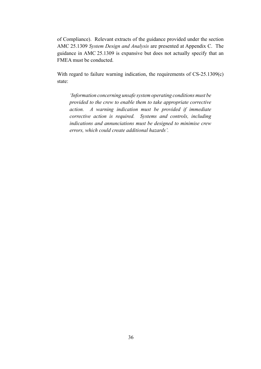of Compliance). Relevant extracts of the guidance provided under the section AMC 25.1309 *System Design and Analysis* are presented at Appendix C. The guidance in AMC 25.1309 is expansive but does not actually specify that an FMEA must be conducted.

With regard to failure warning indication, the requirements of CS-25.1309(c) state:

*'Information concerning unsafe system operating conditions must be provided to the crew to enable them to take appropriate corrective action. A warning indication must be provided if immediate corrective action is required. Systems and controls, including indications and annunciations must be designed to minimise crew errors, which could create additional hazards'.*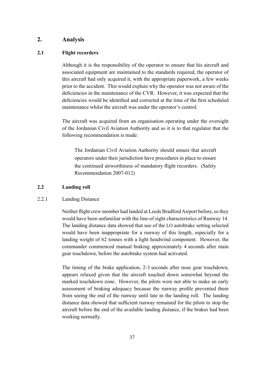# **2. Analysis**

# **2.1 Flight recorders**

Although it is the responsibility of the operator to ensure that his aircraft and associated equipment are maintained to the standards required, the operator of this aircraft had only acquired it, with the appropriate paperwork, a few weeks prior to the accident. This would explain why the operator was not aware of the deficiencies in the maintenance of the CVR. However, it was expected that the deficiencies would be identified and corrected at the time of the first scheduled maintenance whilst the aircraft was under the operator's control.

The aircraft was acquired from an organisation operating under the oversight of the Jordanian Civil Aviation Authority and so it is to that regulator that the following recommendation is made:

The Jordanian Civil Aviation Authority should ensure that aircraft operators under their jurisdiction have procedures in place to ensure the continued airworthiness of mandatory flight recorders. (Safety Recommendation 2007-012)

# **2.2 Landing roll**

# 2.2.1 Landing Distance

Neither flight crew member had landed at Leeds Bradford Airport before, so they would have been unfamiliar with the line-of sight characteristics of Runway 14. The landing distance data showed that use of the LO autobrake setting selected would have been inappropriate for a runway of this length, especially for a landing weight of 62 tonnes with a light headwind component. However, the commander commenced manual braking approximately 4 seconds after main gear touchdown, before the autobrake system had activated.

The timing of the brake application, 2‑3 seconds after nose gear touchdown, appears relaxed given that the aircraft touched down somewhat beyond the marked touchdown zone. However, the pilots were not able to make an early assessment of braking adequacy because the runway profile prevented them from seeing the end of the runway until late in the landing roll. The landing distance data showed that sufficient runway remained for the pilots to stop the aircraft before the end of the available landing distance, if the brakes had been working normally.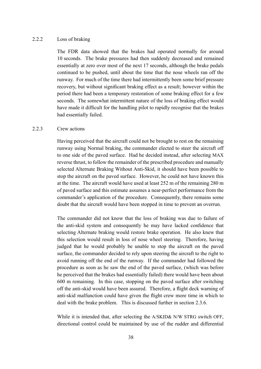# 2.2.2 Loss of braking

The FDR data showed that the brakes had operated normally for around 10 seconds. The brake pressures had then suddenly decreased and remained essentially at zero over most of the next 17 seconds, although the brake pedals continued to be pushed, until about the time that the nose wheels ran off the runway. For much of the time there had intermittently been some brief pressure recovery, but without significant braking effect as a result; however within the period there had been a temporary restoration of some braking effect for a few seconds. The somewhat intermittent nature of the loss of braking effect would have made it difficult for the handling pilot to rapidly recognise that the brakes had essentially failed.

# 2.2.3 Crew actions

Having perceived that the aircraft could not be brought to rest on the remaining runway using Normal braking, the commander elected to steer the aircraft off to one side of the paved surface. Had he decided instead, after selecting max reverse thrust, to follow the remainder of the prescribed procedure and manually selected Alternate Braking Without Anti-Skid, it should have been possible to stop the aircraft on the paved surface. However, he could not have known this at the time. The aircraft would have used at least 252 m of the remaining 280 m of paved surface and this estimate assumes a near-perfect performance from the commander's application of the procedure. Consequently, there remains some doubt that the aircraft would have been stopped in time to prevent an overrun.

The commander did not know that the loss of braking was due to failure of the anti-skid system and consequently he may have lacked confidence that selecting Alternate braking would restore brake operation. He also knew that this selection would result in loss of nose wheel steering. Therefore, having judged that he would probably be unable to stop the aircraft on the paved surface, the commander decided to rely upon steering the aircraft to the right to avoid running off the end of the runway. If the commander had followed the procedure as soon as he saw the end of the paved surface, (which was before he perceived that the brakes had essentially failed) there would have been about 600 m remaining. In this case, stopping on the paved surface after switching off the anti-skid would have been assured. Therefore, a flight deck warning of anti‑skid malfunction could have given the flight crew more time in which to deal with the brake problem. This is discussed further in section 2.3.6.

While it is intended that, after selecting the A/SKID& N/W STRG switch OFF, directional control could be maintained by use of the rudder and differential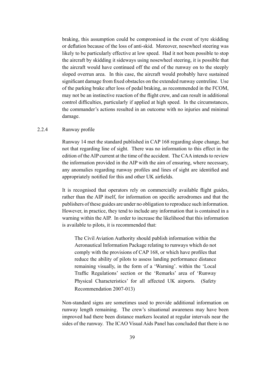braking, this assumption could be compromised in the event of tyre skidding or deflation because of the loss of anti-skid. Moreover, nosewheel steering was likely to be particularly effective at low speed. Had it not been possible to stop the aircraft by skidding it sideways using nosewheel steering, it is possible that the aircraft would have continued off the end of the runway on to the steeply sloped overrun area. In this case, the aircraft would probably have sustained significant damage from fixed obstacles on the extended runway centreline. Use of the parking brake after loss of pedal braking, as recommended in the FCOM, may not be an instinctive reaction of the flight crew, and can result in additional control difficulties, particularly if applied at high speed. In the circumstances, the commander's actions resulted in an outcome with no injuries and minimal damage.

### 2.2.4 Runway profile

Runway 14 met the standard published in CAP 168 regarding slope change, but not that regarding line of sight. There was no information to this effect in the edition of the AIP current at the time of the accident. The CAA intends to review the information provided in the AIP with the aim of ensuring, where necessary, any anomalies regarding runway profiles and lines of sight are identified and appropriately notified for this and other UK airfields.

It is recognised that operators rely on commercially available flight guides, rather than the AIP itself, for information on specific aerodromes and that the publishers of these guides are under no obligation to reproduce such information. However, in practice, they tend to include any information that is contained in a warning within the AIP. In order to increase the likelihood that this information is available to pilots, it is recommended that:

The Civil Aviation Authority should publish information within the Aeronautical Information Package relating to runways which do not comply with the provisions of CAP 168, or which have profiles that reduce the ability of pilots to assess landing performance distance remaining visually, in the form of a 'Warning'. within the 'Local Traffic Regulations' section or the 'Remarks' area of 'Runway Physical Characteristics' for all affected UK airports. (Safety Recommendation 2007-013)

Non-standard signs are sometimes used to provide additional information on runway length remaining. The crew's situational awareness may have been improved had there been distance markers located at regular intervals near the sides of the runway. The ICAO Visual Aids Panel has concluded that there is no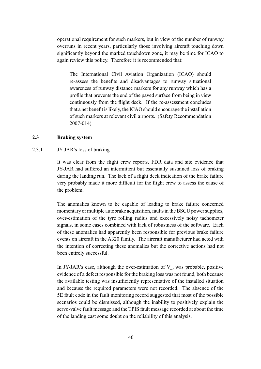operational requirement for such markers, but in view of the number of runway overruns in recent years, particularly those involving aircraft touching down significantly beyond the marked touchdown zone, it may be time for ICAO to again review this policy. Therefore it is recommended that:

The International Civil Aviation Organization (ICAO) should re-assess the benefits and disadvantages to runway situational awareness of runway distance markers for any runway which has a profile that prevents the end of the paved surface from being in view continuously from the flight deck. If the re-assessment concludes that a net benefit is likely, the ICAO should encourage the installation of such markers at relevant civil airports. (Safety Recommendation 2007-014)

# **2.3 Braking system**

## 2.3.1 JY-JAR's loss of braking

It was clear from the flight crew reports, FDR data and site evidence that JY‑JAR had suffered an intermittent but essentially sustained loss of braking during the landing run. The lack of a flight deck indication of the brake failure very probably made it more difficult for the flight crew to assess the cause of the problem.

The anomalies known to be capable of leading to brake failure concerned momentary or multiple autobrake acquisition, faults in the BSCU power supplies, over-estimation of the tyre rolling radius and excessively noisy tachometer signals, in some cases combined with lack of robustness of the software. Each of these anomalies had apparently been responsible for previous brake failure events on aircraft in the A320 family. The aircraft manufacturer had acted with the intention of correcting these anomalies but the corrective actions had not been entirely successful.

In JY-JAR's case, although the over-estimation of  $V_{ref}$  was probable, positive evidence of a defect responsible for the braking loss was not found, both because the available testing was insufficiently representative of the installed situation and because the required parameters were not recorded. The absence of the 5E fault code in the fault monitoring record suggested that most of the possible scenarios could be dismissed, although the inability to positively explain the servo-valve fault message and the TPIS fault message recorded at about the time of the landing cast some doubt on the reliability of this analysis.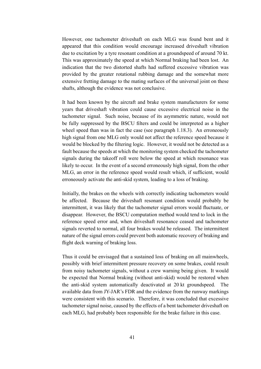However, one tachometer driveshaft on each MLG was found bent and it appeared that this condition would encourage increased driveshaft vibration due to excitation by a tyre resonant condition at a groundspeed of around 70 kt. This was approximately the speed at which Normal braking had been lost. An indication that the two distorted shafts had suffered excessive vibration was provided by the greater rotational rubbing damage and the somewhat more extensive fretting damage to the mating surfaces of the universal joint on these shafts, although the evidence was not conclusive.

It had been known by the aircraft and brake system manufacturers for some years that driveshaft vibration could cause excessive electrical noise in the tachometer signal. Such noise, because of its asymmetric nature, would not be fully suppressed by the BSCU filters and could be interpreted as a higher wheel speed than was in fact the case (see paragraph 1.18.3). An erroneously high signal from one MLG only would not affect the reference speed because it would be blocked by the filtering logic. However, it would not be detected as a fault because the speeds at which the monitoring system checked the tachometer signals during the takeoff roll were below the speed at which resonance was likely to occur. In the event of a second erroneously high signal, from the other MLG, an error in the reference speed would result which, if sufficient, would erroneously activate the anti-skid system, leading to a loss of braking.

Initially, the brakes on the wheels with correctly indicating tachometers would be affected. Because the driveshaft resonant condition would probably be intermittent, it was likely that the tachometer signal errors would fluctuate, or disappear. However, the BSCU computation method would tend to lock in the reference speed error and, when driveshaft resonance ceased and tachometer signals reverted to normal, all four brakes would be released. The intermittent nature of the signal errors could prevent both automatic recovery of braking and flight deck warning of braking loss.

Thus it could be envisaged that a sustained loss of braking on all mainwheels, possibly with brief intermittent pressure recovery on some brakes, could result from noisy tachometer signals, without a crew warning being given. It would be expected that Normal braking (without anti-skid) would be restored when the anti-skid system automatically deactivated at 20 kt groundspeed. The available data from JY‑JAR's FDR and the evidence from the runway markings were consistent with this scenario. Therefore, it was concluded that excessive tachometer signal noise, caused by the effects of a bent tachometer driveshaft on each MLG, had probably been responsible for the brake failure in this case.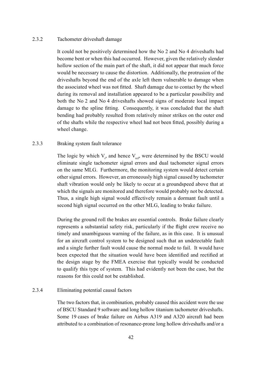## 2.3.2 Tachometer driveshaft damage

It could not be positively determined how the No 2 and No 4 driveshafts had become bent or when this had occurred. However, given the relatively slender hollow section of the main part of the shaft, it did not appear that much force would be necessary to cause the distortion. Additionally, the protrusion of the driveshafts beyond the end of the axle left them vulnerable to damage when the associated wheel was not fitted. Shaft damage due to contact by the wheel during its removal and installation appeared to be a particular possibility and both the No 2 and No 4 driveshafts showed signs of moderate local impact damage to the spline fitting. Consequently, it was concluded that the shaft bending had probably resulted from relatively minor strikes on the outer end of the shafts while the respective wheel had not been fitted, possibly during a wheel change.

## 2.3.3 Braking system fault tolerance

The logic by which  $V_{r}$ , and hence  $V_{ref}$ , were determined by the BSCU would eliminate single tachometer signal errors and dual tachometer signal errors on the same MLG. Furthermore, the monitoring system would detect certain other signal errors. However, an erroneously high signal caused by tachometer shaft vibration would only be likely to occur at a groundspeed above that at which the signals are monitored and therefore would probably not be detected. Thus, a single high signal would effectively remain a dormant fault until a second high signal occurred on the other MLG, leading to brake failure.

During the ground roll the brakes are essential controls. Brake failure clearly represents a substantial safety risk, particularly if the flight crew receive no timely and unambiguous warning of the failure, as in this case. It is unusual for an aircraft control system to be designed such that an undetectable fault and a single further fault would cause the normal mode to fail. It would have been expected that the situation would have been identified and rectified at the design stage by the FMEA exercise that typically would be conducted to qualify this type of system. This had evidently not been the case, but the reasons for this could not be established.

# 2.3.4 Eliminating potential causal factors

The two factors that, in combination, probably caused this accident were the use of BSCU Standard 9 software and long hollow titanium tachometer driveshafts. Some 19 cases of brake failure on Airbus A319 and A320 aircraft had been attributed to a combination of resonance-prone long hollow driveshafts and/or a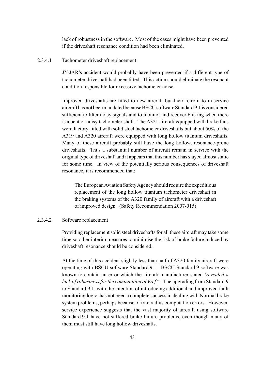lack of robustness in the software. Most of the cases might have been prevented if the driveshaft resonance condition had been eliminated.

## 2.3.4.1 Tachometer driveshaft replacement

JY‑JAR's accident would probably have been prevented if a different type of tachometer driveshaft had been fitted. This action should eliminate the resonant condition responsible for excessive tachometer noise.

Improved driveshafts are fitted to new aircraft but their retrofit to in-service aircraft has not been mandated because BSCU software Standard 9.1 is considered sufficient to filter noisy signals and to monitor and recover braking when there is a bent or noisy tachometer shaft. The A321 aircraft equipped with brake fans were factory-fitted with solid steel tachometer driveshafts but about 50% of the A319 and A320 aircraft were equipped with long hollow titanium driveshafts. Many of these aircraft probably still have the long hollow, resonance-prone driveshafts. Thus a substantial number of aircraft remain in service with the original type of driveshaft and it appears that this number has stayed almost static for some time. In view of the potentially serious consequences of driveshaft resonance, it is recommended that:

The European Aviation Safety Agency should require the expeditious replacement of the long hollow titanium tachometer driveshaft in the braking systems of the A320 family of aircraft with a driveshaft of improved design. (Safety Recommendation 2007-015)

## 2.3.4.2 Software replacement

Providing replacement solid steel driveshafts for all these aircraft may take some time so other interim measures to minimise the risk of brake failure induced by driveshaft resonance should be considered.

At the time of this accident slightly less than half of A320 family aircraft were operating with BSCU software Standard 9.1. BSCU Standard 9 software was known to contain an error which the aircraft manufacturer stated '*revealed a lack of robustness for the computation of Vref*<sup>"</sup>. The upgrading from Standard 9 to Standard 9.1, with the intention of introducing additional and improved fault monitoring logic, has not been a complete success in dealing with Normal brake system problems, perhaps because of tyre radius computation errors. However, service experience suggests that the vast majority of aircraft using software Standard 9.1 have not suffered brake failure problems, even though many of them must still have long hollow driveshafts.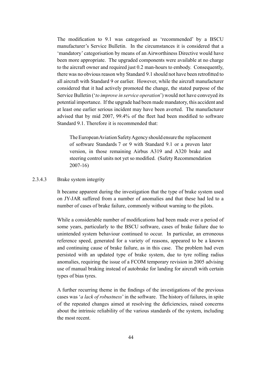The modification to 9.1 was categorised as 'recommended' by a BSCU manufacturer's Service Bulletin. In the circumstances it is considered that a 'mandatory' categorisation by means of an Airworthiness Directive would have been more appropriate. The upgraded components were available at no charge to the aircraft owner and required just 0.2 man-hours to embody. Consequently, there was no obvious reason why Standard 9.1 should not have been retrofitted to all aircraft with Standard 9 or earlier. However, while the aircraft manufacturer considered that it had actively promoted the change, the stated purpose of the Service Bulletin ('*to improve in service operation*') would not have conveyed its potential importance. If the upgrade had been made mandatory, this accident and at least one earlier serious incident may have been averted. The manufacturer advised that by mid 2007, 99.4% of the fleet had been modified to software Standard 9.1. Therefore it is recommended that:

The European Aviation Safety Agency should ensure the replacement of software Standards 7 or 9 with Standard 9.1 or a proven later version, in those remaining Airbus A319 and A320 brake and steering control units not yet so modified. (Safety Recommendation 2007-16)

## 2.3.4.3 Brake system integrity

It became apparent during the investigation that the type of brake system used on JY‑JAR suffered from a number of anomalies and that these had led to a number of cases of brake failure, commonly without warning to the pilots.

While a considerable number of modifications had been made over a period of some years, particularly to the BSCU software, cases of brake failure due to unintended system behaviour continued to occur. In particular, an erroneous reference speed, generated for a variety of reasons, appeared to be a known and continuing cause of brake failure, as in this case. The problem had even persisted with an updated type of brake system, due to tyre rolling radius anomalies, requiring the issue of a FCOM temporary revision in 2005 advising use of manual braking instead of autobrake for landing for aircraft with certain types of bias tyres.

A further recurring theme in the findings of the investigations of the previous cases was '*a lack of robustness*' in the software. The history of failures, in spite of the repeated changes aimed at resolving the deficiencies, raised concerns about the intrinsic reliability of the various standards of the system, including the most recent.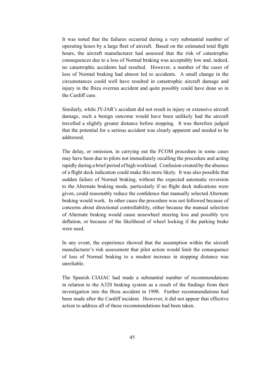It was noted that the failures occurred during a very substantial number of operating hours by a large fleet of aircraft. Based on the estimated total flight hours, the aircraft manufacturer had assessed that the risk of catastrophic consequences due to a loss of Normal braking was acceptably low and, indeed, no catastrophic accidents had resulted. However, a number of the cases of loss of Normal braking had almost led to accidents. A small change in the circumstances could well have resulted in catastrophic aircraft damage and injury in the Ibiza overrun accident and quite possibly could have done so in the Cardiff case.

Similarly, while JY‑JAR's accident did not result in injury or extensive aircraft damage, such a benign outcome would have been unlikely had the aircraft travelled a slightly greater distance before stopping. It was therefore judged that the potential for a serious accident was clearly apparent and needed to be addressed.

The delay, or omission, in carrying out the FCOM procedure in some cases may have been due to pilots not immediately recalling the procedure and acting rapidly during a brief period of high workload. Confusion created by the absence of a flight deck indication could make this more likely. It was also possible that sudden failure of Normal braking, without the expected automatic reversion to the Alternate braking mode, particularly if no flight deck indications were given, could reasonably reduce the confidence that manually selected Alternate braking would work. In other cases the procedure was not followed because of concerns about directional controllability, either because the manual selection of Alternate braking would cause nosewheel steering loss and possibly tyre deflation, or because of the likelihood of wheel locking if the parking brake were used.

In any event, the experience showed that the assumption within the aircraft manufacturer's risk assessment that pilot action would limit the consequence of loss of Normal braking to a modest increase in stopping distance was unreliable.

The Spanish CIAIAC had made a substantial number of recommendations in relation to the A320 braking system as a result of the findings from their investigation into the Ibiza accident in 1998. Further recommendations had been made after the Cardiff incident. However, it did not appear that effective action to address all of these recommendations had been taken.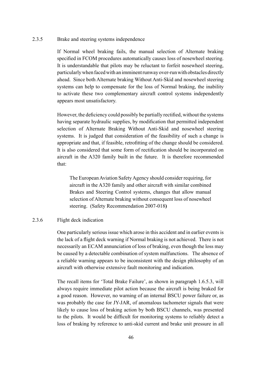# 2.3.5 Brake and steering systems independence

If Normal wheel braking fails, the manual selection of Alternate braking specified in FCOM procedures automatically causes loss of nosewheel steering. It is understandable that pilots may be reluctant to forfeit nosewheel steering, particularly when faced with an imminent runway over-run with obstacles directly ahead. Since both Alternate braking Without Anti-Skid and nosewheel steering systems can help to compensate for the loss of Normal braking, the inability to activate these two complementary aircraft control systems independently appears most unsatisfactory.

However, the deficiency could possibly be partially rectified, without the systems having separate hydraulic supplies, by modification that permitted independent selection of Alternate Braking Without Anti-Skid and nosewheel steering systems. It is judged that consideration of the feasibility of such a change is appropriate and that, if feasible, retrofitting of the change should be considered. It is also considered that some form of rectification should be incorporated on aircraft in the A320 family built in the future. It is therefore recommended that:

The European Aviation Safety Agency should consider requiring, for aircraft in the A320 family and other aircraft with similar combined Brakes and Steering Control systems, changes that allow manual selection of Alternate braking without consequent loss of nosewheel steering. (Safety Recommendation 2007-018**)**

# 2.3.6 Flight deck indication

One particularly serious issue which arose in this accident and in earlier events is the lack of a flight deck warning if Normal braking is not achieved. There is not necessarily an ECAM annunciation of loss of braking, even though the loss may be caused by a detectable combination of system malfunctions. The absence of a reliable warning appears to be inconsistent with the design philosophy of an aircraft with otherwise extensive fault monitoring and indication.

The recall items for 'Total Brake Failure', as shown in paragraph 1.6.5.3, will always require immediate pilot action because the aircraft is being braked for a good reason. However, no warning of an internal BSCU power failure or, as was probably the case for JY-JAR, of anomalous tachometer signals that were likely to cause loss of braking action by both BSCU channels, was presented to the pilots. It would be difficult for monitoring systems to reliably detect a loss of braking by reference to anti-skid current and brake unit pressure in all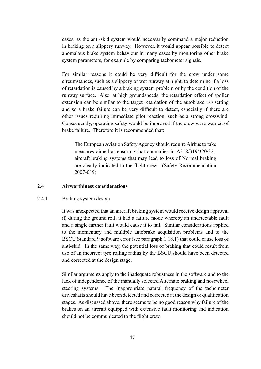cases, as the anti-skid system would necessarily command a major reduction in braking on a slippery runway. However, it would appear possible to detect anomalous brake system behaviour in many cases by monitoring other brake system parameters, for example by comparing tachometer signals.

For similar reasons it could be very difficult for the crew under some circumstances, such as a slippery or wet runway at night, to determine if a loss of retardation is caused by a braking system problem or by the condition of the runway surface. Also, at high groundspeeds, the retardation effect of spoiler extension can be similar to the target retardation of the autobrake LO setting and so a brake failure can be very difficult to detect, especially if there are other issues requiring immediate pilot reaction, such as a strong crosswind. Consequently, operating safety would be improved if the crew were warned of brake failure. Therefore it is recommended that:

The European Aviation Safety Agency should require Airbus to take measures aimed at ensuring that anomalies in A318/319/320/321 aircraft braking systems that may lead to loss of Normal braking are clearly indicated to the flight crew. (**S**afety Recommendation 2007-019)

## **2.4 Airworthiness considerations**

## 2.4.1 Braking system design

It was unexpected that an aircraft braking system would receive design approval if, during the ground roll, it had a failure mode whereby an undetectable fault and a single further fault would cause it to fail. Similar considerations applied to the momentary and multiple autobrake acquisition problems and to the BSCU Standard 9 software error (see paragraph 1.18.1) that could cause loss of anti‑skid. In the same way, the potential loss of braking that could result from use of an incorrect tyre rolling radius by the BSCU should have been detected and corrected at the design stage.

Similar arguments apply to the inadequate robustness in the software and to the lack of independence of the manually selected Alternate braking and nosewheel steering systems. The inappropriate natural frequency of the tachometer driveshafts should have been detected and corrected at the design or qualification stages. As discussed above, there seems to be no good reason why failure of the brakes on an aircraft equipped with extensive fault monitoring and indication should not be communicated to the flight crew.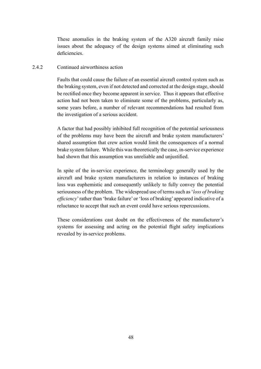These anomalies in the braking system of the A320 aircraft family raise issues about the adequacy of the design systems aimed at eliminating such deficiencies.

# 2.4.2 Continued airworthiness action

Faults that could cause the failure of an essential aircraft control system such as the braking system, even if not detected and corrected at the design stage, should be rectified once they become apparent in service. Thus it appears that effective action had not been taken to eliminate some of the problems, particularly as, some years before, a number of relevant recommendations had resulted from the investigation of a serious accident.

A factor that had possibly inhibited full recognition of the potential seriousness of the problems may have been the aircraft and brake system manufacturers' shared assumption that crew action would limit the consequences of a normal brake system failure. While this was theoretically the case, in-service experience had shown that this assumption was unreliable and unjustified.

In spite of the in-service experience, the terminology generally used by the aircraft and brake system manufacturers in relation to instances of braking loss was euphemistic and consequently unlikely to fully convey the potential seriousness of the problem. The widespread use of terms such as '*loss of braking efficiency*' rather than 'brake failure' or 'loss of braking' appeared indicative of a reluctance to accept that such an event could have serious repercussions.

These considerations cast doubt on the effectiveness of the manufacturer's systems for assessing and acting on the potential flight safety implications revealed by in-service problems.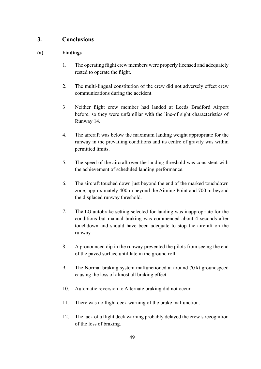# **3. Conclusions**

# **(a) Findings**

- 1. The operating flight crew members were properly licensed and adequately rested to operate the flight.
- 2. The multi-lingual constitution of the crew did not adversely effect crew communications during the accident.
- 3 Neither flight crew member had landed at Leeds Bradford Airport before, so they were unfamiliar with the line-of sight characteristics of Runway 14.
- 4. The aircraft was below the maximum landing weight appropriate for the runway in the prevailing conditions and its centre of gravity was within permitted limits.
- 5. The speed of the aircraft over the landing threshold was consistent with the achievement of scheduled landing performance.
- 6. The aircraft touched down just beyond the end of the marked touchdown zone, approximately 400 m beyond the Aiming Point and 700 m beyond the displaced runway threshold.
- 7. The LO autobrake setting selected for landing was inappropriate for the conditions but manual braking was commenced about 4 seconds after touchdown and should have been adequate to stop the aircraft on the runway.
- 8. A pronounced dip in the runway prevented the pilots from seeing the end of the paved surface until late in the ground roll.
- 9. The Normal braking system malfunctioned at around 70 kt groundspeed causing the loss of almost all braking effect.
- 10. Automatic reversion to Alternate braking did not occur.
- 11. There was no flight deck warning of the brake malfunction.
- 12. The lack of a flight deck warning probably delayed the crew's recognition of the loss of braking.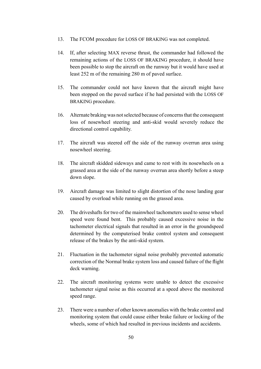- 13. The FCOM procedure for LOSS OF BRAKING was not completed.
- 14. If, after selecting MAX reverse thrust, the commander had followed the remaining actions of the LOSS OF BRAKING procedure, it should have been possible to stop the aircraft on the runway but it would have used at least 252 m of the remaining 280 m of paved surface.
- 15. The commander could not have known that the aircraft might have been stopped on the paved surface if he had persisted with the LOSS OF BRAKING procedure.
- 16. Alternate braking was not selected because of concerns that the consequent loss of nosewheel steering and anti-skid would severely reduce the directional control capability.
- 17. The aircraft was steered off the side of the runway overrun area using nosewheel steering.
- 18. The aircraft skidded sideways and came to rest with its nosewheels on a grassed area at the side of the runway overrun area shortly before a steep down slope.
- 19. Aircraft damage was limited to slight distortion of the nose landing gear caused by overload while running on the grassed area.
- 20. The driveshafts for two of the mainwheel tachometers used to sense wheel speed were found bent. This probably caused excessive noise in the tachometer electrical signals that resulted in an error in the groundspeed determined by the computerised brake control system and consequent release of the brakes by the anti-skid system.
- 21. Fluctuation in the tachometer signal noise probably prevented automatic correction of the Normal brake system loss and caused failure of the flight deck warning.
- 22. The aircraft monitoring systems were unable to detect the excessive tachometer signal noise as this occurred at a speed above the monitored speed range.
- 23. There were a number of other known anomalies with the brake control and monitoring system that could cause either brake failure or locking of the wheels, some of which had resulted in previous incidents and accidents.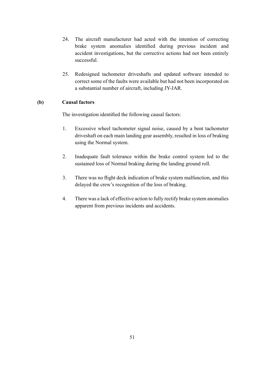- 24. The aircraft manufacturer had acted with the intention of correcting brake system anomalies identified during previous incident and accident investigations, but the corrective actions had not been entirely successful.
- 25. Redesigned tachometer driveshafts and updated software intended to correct some of the faults were available but had not been incorporated on a substantial number of aircraft, including JY‑JAR.

# **(b) Causal factors**

The investigation identified the following causal factors:

- 1. Excessive wheel tachometer signal noise, caused by a bent tachometer driveshaft on each main landing gear assembly, resulted in loss of braking using the Normal system.
- 2. Inadequate fault tolerance within the brake control system led to the sustained loss of Normal braking during the landing ground roll.
- 3. There was no flight deck indication of brake system malfunction, and this delayed the crew's recognition of the loss of braking.
- 4. There was a lack of effective action to fully rectify brake system anomalies apparent from previous incidents and accidents.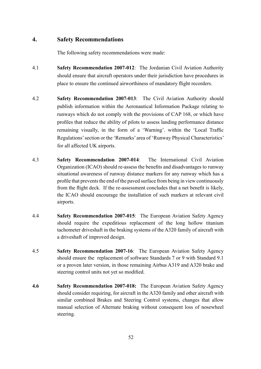# **4. Safety Recommendations**

The following safety recommendations were made:

- 4.1 **Safety Recommendation 2007-012**: The Jordanian Civil Aviation Authority should ensure that aircraft operators under their jurisdiction have procedures in place to ensure the continued airworthiness of mandatory flight recorders.
- 4.2 **Safety Recommendation 2007-013**: The Civil Aviation Authority should publish information within the Aeronautical Information Package relating to runways which do not comply with the provisions of CAP 168, or which have profiles that reduce the ability of pilots to assess landing performance distance remaining visually, in the form of a 'Warning'. within the 'Local Traffic Regulations' section or the 'Remarks' area of 'Runway Physical Characteristics' for all affected UK airports.
- 4.3 **Safety Recommendation 2007-014**: The International Civil Aviation Organization (ICAO) should re-assess the benefits and disadvantages to runway situational awareness of runway distance markers for any runway which has a profile that prevents the end of the paved surface from being in view continuously from the flight deck. If the re-assessment concludes that a net benefit is likely, the ICAO should encourage the installation of such markers at relevant civil airports.
- 4.4 **Safety Recommendation 2007-015**: The European Aviation Safety Agency should require the expeditious replacement of the long hollow titanium tachometer driveshaft in the braking systems of the A320 family of aircraft with a driveshaft of improved design.
- 4.5 **Safety Recommendation 2007-16**: The European Aviation Safety Agency should ensure the replacement of software Standards 7 or 9 with Standard 9.1 or a proven later version, in those remaining Airbus A319 and A320 brake and steering control units not yet so modified.
- **4.6 Safety Recommendation 2007-018:** The European Aviation Safety Agency should consider requiring, for aircraft in the A320 family and other aircraft with similar combined Brakes and Steering Control systems, changes that allow manual selection of Alternate braking without consequent loss of nosewheel steering.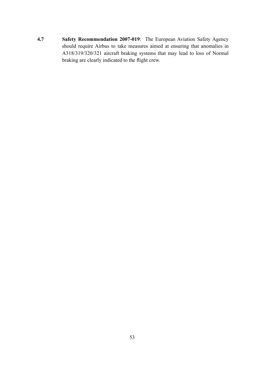**4.7 Safety Recommendation 2007-019**: The European Aviation Safety Agency should require Airbus to take measures aimed at ensuring that anomalies in A318/319/320/321 aircraft braking systems that may lead to loss of Normal braking are clearly indicated to the flight crew.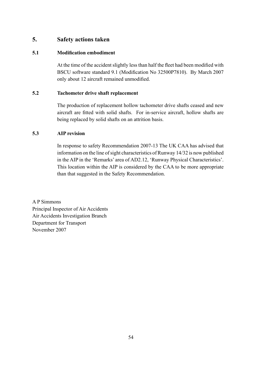# **5. Safety actions taken**

# **5.1 Modification embodiment**

At the time of the accident slightly less than half the fleet had been modified with BSCU software standard 9.1 (Modification No 32500P7810). By March 2007 only about 12 aircraft remained unmodified.

# **5.2 Tachometer drive shaft replacement**

The production of replacement hollow tachometer drive shafts ceased and new aircraft are fitted with solid shafts. For in-service aircraft, hollow shafts are being replaced by solid shafts on an attrition basis.

# **5.3 AIP revision**

In response to safety Recommendation 2007-13 The UK CAA has advised that information on the line of sight characteristics of Runway 14/32 is now published in the AIP in the 'Remarks' area of AD2.12, 'Runway Physical Characteristics'. This location within the AIP is considered by the CAA to be more appropriate than that suggested in the Safety Recommendation.

A P Simmons Principal Inspector of Air Accidents Air Accidents Investigation Branch Department for Transport November 2007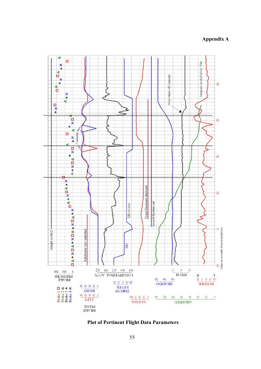# **Appendix A**



## **Plot of Pertinent Flight Data Parameters**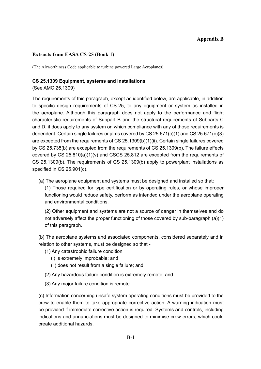# **Extracts from EASA CS-25 (Book 1)**

(The Airworthiness Code applicable to turbine powered Large Aeroplanes)

## **CS 25.1309 Equipment, systems and installations**

(See AMC 25.1309)

The requirements of this paragraph, except as identified below, are applicable, in addition to specific design requirements of CS-25, to any equipment or system as installed in the aeroplane. Although this paragraph does not apply to the performance and flight characteristic requirements of Subpart B and the structural requirements of Subparts C and D, it does apply to any system on which compliance with any of those requirements is dependent. Certain single failures or jams covered by CS 25.671(c)(1) and CS 25.671(c)(3) are excepted from the requirements of CS 25.1309(b)(1)(ii). Certain single failures covered by CS 25.735(b) are excepted from the requirements of CS 25.1309(b). The failure effects covered by CS  $25.810(a)(1)(v)$  and CSCS  $25.812$  are excepted from the requirements of CS 25.1309(b). The requirements of CS 25.1309(b) apply to powerplant installations as specified in CS 25.901(c).

(a) The aeroplane equipment and systems must be designed and installed so that:

(1) Those required for type certification or by operating rules, or whose improper functioning would reduce safety, perform as intended under the aeroplane operating and environmental conditions.

(2) Other equipment and systems are not a source of danger in themselves and do not adversely affect the proper functioning of those covered by sub-paragraph (a)(1) of this paragraph.

(b) The aeroplane systems and associated components, considered separately and in relation to other systems, must be designed so that -

- (1) Any catastrophic failure condition
	- (i) is extremely improbable; and
	- (ii) does not result from a single failure; and
- (2) Any hazardous failure condition is extremely remote; and
- (3) Any major failure condition is remote.

(c) Information concerning unsafe system operating conditions must be provided to the crew to enable them to take appropriate corrective action. A warning indication must be provided if immediate corrective action is required. Systems and controls, including indications and annunciations must be designed to minimise crew errors, which could create additional hazards.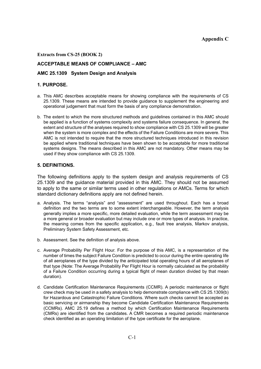# **Appendix C**

#### **Extracts from CS-25 (BOOK 2)**

#### **ACCEPTABLE MEANS OF COMPLIANCE – AMC**

### **AMC 25.1309 System Design and Analysis**

### **1. PURPOSE.**

- a. This AMC describes acceptable means for showing compliance with the requirements of CS 25.1309. These means are intended to provide guidance to supplement the engineering and operational judgement that must form the basis of any compliance demonstration.
- b. The extent to which the more structured methods and guidelines contained in this AMC should be applied is a function of systems complexity and systems failure consequence. In general, the extent and structure of the analyses required to show compliance with CS 25.1309 will be greater when the system is more complex and the effects of the Failure Conditions are more severe. This AMC is not intended to require that the more structured techniques introduced in this revision be applied where traditional techniques have been shown to be acceptable for more traditional systems designs. The means described in this AMC are not mandatory. Other means may be used if they show compliance with CS 25.1309.

#### **5. DEFINITIONS.**

The following definitions apply to the system design and analysis requirements of CS 25.1309 and the guidance material provided in this AMC. They should not be assumed to apply to the same or similar terms used in other regulations or AMCs. Terms for which standard dictionary definitions apply are not defined herein.

- a. Analysis. The terms "analysis" and "assessment" are used throughout. Each has a broad definition and the two terms are to some extent interchangeable. However, the term analysis generally implies a more specific, more detailed evaluation, while the term assessment may be a more general or broader evaluation but may include one or more types of analysis. In practice, the meaning comes from the specific application, e.g., fault tree analysis, Markov analysis, Preliminary System Safety Assessment, etc.
- b. Assessment. See the definition of analysis above.
- c. Average Probability Per Flight Hour. For the purpose of this AMC, is a representation of the number of times the subject Failure Condition is predicted to occur during the entire operating life of all aeroplanes of the type divided by the anticipated total operating hours of all aeroplanes of that type (Note: The Average Probability Per Flight Hour is normally calculated as the probability of a Failure Condition occurring during a typical flight of mean duration divided by that mean duration).
- d. Candidate Certification Maintenance Requirements (CCMR). A periodic maintenance or flight crew check may be used in a safety analysis to help demonstrate compliance with CS 25.1309(b) for Hazardous and Catastrophic Failure Conditions. Where such checks cannot be accepted as basic servicing or airmanship they become Candidate Certification Maintenance Requirements (CCMRs). AMC 25.19 defines a method by which Certification Maintenance Requirements (CMRs) are identified from the candidates. A CMR becomes a required periodic maintenance check identified as an operating limitation of the type certificate for the aeroplane.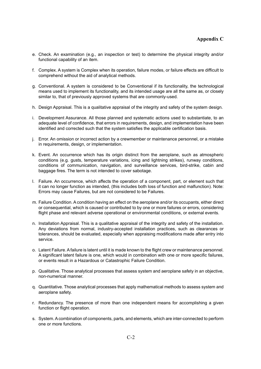- e. Check. An examination (e.g., an inspection or test) to determine the physical integrity and/or functional capability of an item.
- f. Complex. A system is Complex when its operation, failure modes, or failure effects are difficult to comprehend without the aid of analytical methods.
- g. Conventional. A system is considered to be Conventional if its functionality, the technological means used to implement its functionality, and its intended usage are all the same as, or closely similar to, that of previously approved systems that are commonly-used.
- h. Design Appraisal. This is a qualitative appraisal of the integrity and safety of the system design.
- i. Development Assurance. All those planned and systematic actions used to substantiate, to an adequate level of confidence, that errors in requirements, design, and implementation have been identified and corrected such that the system satisfies the applicable certification basis.
- j. Error. An omission or incorrect action by a crewmember or maintenance personnel, or a mistake in requirements, design, or implementation.
- k. Event. An occurrence which has its origin distinct from the aeroplane, such as atmospheric conditions (e.g. gusts, temperature variations, icing and lightning strikes), runway conditions, conditions of communication, navigation, and surveillance services, bird-strike, cabin and baggage fires. The term is not intended to cover sabotage.
- l. Failure. An occurrence, which affects the operation of a component, part, or element such that it can no longer function as intended, (this includes both loss of function and malfunction). Note: Errors may cause Failures, but are not considered to be Failures.
- m. Failure Condition. A condition having an effect on the aeroplane and/or its occupants, either direct or consequential, which is caused or contributed to by one or more failures or errors, considering flight phase and relevant adverse operational or environmental conditions, or external events.
- n. Installation Appraisal. This is a qualitative appraisal of the integrity and safety of the installation. Any deviations from normal, industry-accepted installation practices, such as clearances or tolerances, should be evaluated, especially when appraising modifications made after entry into service.
- o. Latent Failure. A failure is latent until it is made known to the flight crew or maintenance personnel. A significant latent failure is one, which would in combination with one or more specific failures, or events result in a Hazardous or Catastrophic Failure Condition.
- p. Qualitative. Those analytical processes that assess system and aeroplane safety in an objective, non-numerical manner.
- q. Quantitative. Those analytical processes that apply mathematical methods to assess system and aeroplane safety.
- r. Redundancy. The presence of more than one independent means for accomplishing a given function or flight operation.
- s. System. A combination of components, parts, and elements, which are inter-connected to perform one or more functions.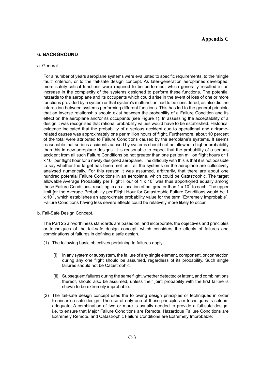### **6. BACKGROUND**

#### a. General.

For a number of years aeroplane systems were evaluated to specific requirements, to the "single fault" criterion, or to the fail-safe design concept. As later-generation aeroplanes developed, more safety-critical functions were required to be performed, which generally resulted in an increase in the complexity of the systems designed to perform these functions. The potential hazards to the aeroplane and its occupants which could arise in the event of loss of one or more functions provided by a system or that system's malfunction had to be considered, as also did the interaction between systems performing different functions. This has led to the general principle that an inverse relationship should exist between the probability of a Failure Condition and its effect on the aeroplane and/or its occupants (see Figure 1). In assessing the acceptability of a design it was recognised that rational probability values would have to be established. Historical evidence indicated that the probability of a serious accident due to operational and airframerelated causes was approximately one per million hours of flight. Furthermore, about 10 percent of the total were attributed to Failure Conditions caused by the aeroplane's systems. It seems reasonable that serious accidents caused by systems should not be allowed a higher probability than this in new aeroplane designs. It is reasonable to expect that the probability of a serious accident from all such Failure Conditions be not greater than one per ten million flight hours or 1  $x$  10<sup> $\degree$ </sup> per flight hour for a newly designed aeroplane. The difficulty with this is that it is not possible to say whether the target has been met until all the systems on the aeroplane are collectively analysed numerically. For this reason it was assumed, arbitrarily, that there are about one hundred potential Failure Conditions in an aeroplane, which could be Catastrophic. The target allowable Average Probability per Flight Hour of 1 x  $10^{-7}$  was thus apportioned equally among these Failure Conditions, resulting in an allocation of not greater than 1 x 10<sup>9</sup> to each. The upper limit for the Average Probability per Flight Hour for Catastrophic Failure Conditions would be 1 x 10<sup>9</sup>, which establishes an approximate probability value for the term "Extremely Improbable". Failure Conditions having less severe effects could be relatively more likely to occur.

b. Fail-Safe Design Concept.

The Part 25 airworthiness standards are based on, and incorporate, the objectives and principles or techniques of the fail-safe design concept, which considers the effects of failures and combinations of failures in defining a safe design.

- (1) The following basic objectives pertaining to failures apply:
	- (i) In any system or subsystem, the failure of any single element, component, or connection during any one flight should be assumed, regardless of its probability. Such single failures should not be Catastrophic.
	- (ii) Subsequent failures during the same flight, whether detected or latent, and combinations thereof, should also be assumed, unless their joint probability with the first failure is shown to be extremely improbable.
- (2) The fail-safe design concept uses the following design principles or techniques in order to ensure a safe design. The use of only one of these principles or techniques is seldom adequate. A combination of two or more is usually needed to provide a fail-safe design; i.e. to ensure that Major Failure Conditions are Remote, Hazardous Failure Conditions are Extremely Remote, and Catastrophic Failure Conditions are Extremely Improbable: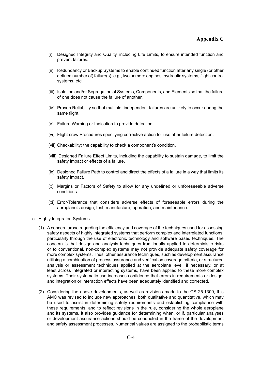- (i) Designed Integrity and Quality, including Life Limits, to ensure intended function and prevent failures.
- (ii) Redundancy or Backup Systems to enable continued function after any single (or other defined number of) failure(s); e.g., two or more engines, hydraulic systems, flight control systems, etc.
- (iii) Isolation and/or Segregation of Systems, Components, and Elements so that the failure of one does not cause the failure of another.
- (iv) Proven Reliability so that multiple, independent failures are unlikely to occur during the same flight.
- (v) Failure Warning or Indication to provide detection.
- (vi) Flight crew Procedures specifying corrective action for use after failure detection.
- (vii) Checkability: the capability to check a component's condition.
- (viii) Designed Failure Effect Limits, including the capability to sustain damage, to limit the safety impact or effects of a failure.
- (ix) Designed Failure Path to control and direct the effects of a failure in a way that limits its safety impact.
- (x) Margins or Factors of Safety to allow for any undefined or unforeseeable adverse conditions.
- (xi) Error-Tolerance that considers adverse effects of foreseeable errors during the aeroplane's design, test, manufacture, operation, and maintenance.
- c. Highly Integrated Systems.
	- (1) A concern arose regarding the efficiency and coverage of the techniques used for assessing safety aspects of highly integrated systems that perform complex and interrelated functions, particularly through the use of electronic technology and software based techniques. The concern is that design and analysis techniques traditionally applied to deterministic risks or to conventional, non-complex systems may not provide adequate safety coverage for more complex systems. Thus, other assurance techniques, such as development assurance utilising a combination of process assurance and verification coverage criteria, or structured analysis or assessment techniques applied at the aeroplane level, if necessary, or at least across integrated or interacting systems, have been applied to these more complex systems. Their systematic use increases confidence that errors in requirements or design, and integration or interaction effects have been adequately identified and corrected.
	- (2) Considering the above developments, as well as revisions made to the CS 25.1309, this AMC was revised to include new approaches, both qualitative and quantitative, which may be used to assist in determining safety requirements and establishing compliance with these requirements, and to reflect revisions in the rule, considering the whole aeroplane and its systems. It also provides guidance for determining when, or if, particular analyses or development assurance actions should be conducted in the frame of the development and safety assessment processes. Numerical values are assigned to the probabilistic terms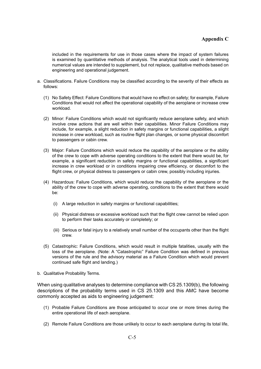included in the requirements for use in those cases where the impact of system failures is examined by quantitative methods of analysis. The analytical tools used in determining numerical values are intended to supplement, but not replace, qualitative methods based on engineering and operational judgement.

- a. Classifications. Failure Conditions may be classified according to the severity of their effects as follows:
	- (1) No Safety Effect: Failure Conditions that would have no effect on safety; for example, Failure Conditions that would not affect the operational capability of the aeroplane or increase crew workload.
	- (2) Minor: Failure Conditions which would not significantly reduce aeroplane safety, and which involve crew actions that are well within their capabilities. Minor Failure Conditions may include, for example, a slight reduction in safety margins or functional capabilities, a slight increase in crew workload, such as routine flight plan changes, or some physical discomfort to passengers or cabin crew.
	- (3) Major: Failure Conditions which would reduce the capability of the aeroplane or the ability of the crew to cope with adverse operating conditions to the extent that there would be, for example, a significant reduction in safety margins or functional capabilities, a significant increase in crew workload or in conditions impairing crew efficiency, or discomfort to the flight crew, or physical distress to passengers or cabin crew, possibly including injuries.
	- (4) Hazardous: Failure Conditions, which would reduce the capability of the aeroplane or the ability of the crew to cope with adverse operating, conditions to the extent that there would be:
		- (i) A large reduction in safety margins or functional capabilities;
		- (ii) Physical distress or excessive workload such that the flight crew cannot be relied upon to perform their tasks accurately or completely; or
		- (iii) Serious or fatal injury to a relatively small number of the occupants other than the flight crew.
	- (5) Catastrophic: Failure Conditions, which would result in multiple fatalities, usually with the loss of the aeroplane. (Note: A "Catastrophic" Failure Condition was defined in previous versions of the rule and the advisory material as a Failure Condition which would prevent continued safe flight and landing.)
- b. Qualitative Probability Terms.

When using qualitative analyses to determine compliance with CS 25.1309(b), the following descriptions of the probability terms used in CS 25.1309 and this AMC have become commonly accepted as aids to engineering judgement:

- (1) Probable Failure Conditions are those anticipated to occur one or more times during the entire operational life of each aeroplane.
- (2) Remote Failure Conditions are those unlikely to occur to each aeroplane during its total life,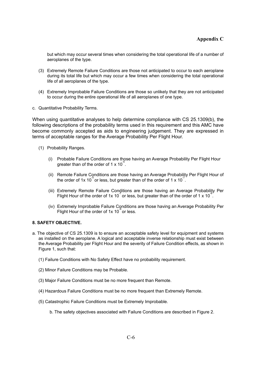but which may occur several times when considering the total operational life of a number of aeroplanes of the type.

- (3) Extremely Remote Failure Conditions are those not anticipated to occur to each aeroplane during its total life but which may occur a few times when considering the total operational life of all aeroplanes of the type.
- (4) Extremely Improbable Failure Conditions are those so unlikely that they are not anticipated to occur during the entire operational life of all aeroplanes of one type.
- c. Quantitative Probability Terms.

When using quantitative analyses to help determine compliance with CS 25.1309(b), the following descriptions of the probability terms used in this requirement and this AMC have become commonly accepted as aids to engineering judgement. They are expressed in terms of acceptable ranges for the Average Probability Per Flight Hour.

- (1) Probability Ranges.
	- (i) Probable Failure Conditions are those having an Average Probability Per Flight Hour greater than of the order of 1 x 10<sup>-5</sup>.
	- (ii) Remote Failure Conditions are those having an Average Probability Per Flight Hour of the order of 1x 10<sup>5</sup> or less, but greater than of the order of 1 x 10<sup>7</sup>.
	- (iii) Extremely Remote Failure Conditions are those having an Average Probability Per Flight Hour of the order of 1x 10<sup>-7</sup> or less, but greater than of the order of 1 x 10<sup>9</sup>.
	- (iv) Extremely Improbable Failure Conditions are those having an Average Probability Per Flight Hour of the order of 1x 10 $^{\circ}$  or less.

#### **8. SAFETY OBJECTIVE.**

- a. The objective of CS 25.1309 is to ensure an acceptable safety level for equipment and systems as installed on the aeroplane. A logical and acceptable inverse relationship must exist between the Average Probability per Flight Hour and the severity of Failure Condition effects, as shown in Figure 1, such that:
	- (1) Failure Conditions with No Safety Effect have no probability requirement.
	- (2) Minor Failure Conditions may be Probable.
	- (3) Major Failure Conditions must be no more frequent than Remote.
	- (4) Hazardous Failure Conditions must be no more frequent than Extremely Remote.
	- (5) Catastrophic Failure Conditions must be Extremely Improbable.
		- b. The safety objectives associated with Failure Conditions are described in Figure 2.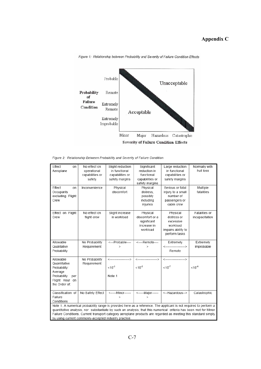# **Appendix C**



Figure 1: Relationship between Probability and Severity of Failure Condition Effects

Figure 2: Relationship Between Probability and Severity of Failure Condition

| Effect<br>on                                                                                                      | No effect on     | Slight reduction                | Significant                | Large reduction                       | Normally with  |
|-------------------------------------------------------------------------------------------------------------------|------------------|---------------------------------|----------------------------|---------------------------------------|----------------|
| Aeroplane                                                                                                         | operational      | in functional                   | reduction in               | in functional                         | hull loss      |
|                                                                                                                   | capabilities or  | capabilities or                 | functional                 | capabilities or                       |                |
|                                                                                                                   | safety           | safety margins                  | capabilities or            | safety margins                        |                |
|                                                                                                                   |                  |                                 | safety margins             |                                       |                |
| Effect<br>on                                                                                                      | Inconvenience    | Physical                        | Physical                   | Serious or fatal                      | Multiple       |
| Occupants                                                                                                         |                  | discomfort                      | distress.                  | injury to a small                     | fatalities     |
| excluding Flight                                                                                                  |                  |                                 | possibly                   | number of                             |                |
| Crew                                                                                                              |                  |                                 | including                  | passengers or                         |                |
|                                                                                                                   |                  |                                 | injuries                   | cabin crew                            |                |
|                                                                                                                   |                  |                                 |                            |                                       |                |
| Effect on Flight                                                                                                  | No effect on     | Slight increase                 | Physical                   | Physical                              | Fatalities or  |
| Crew                                                                                                              | flight crew      | in workload                     | discomfort or a            | distress or                           | incapacitation |
|                                                                                                                   |                  |                                 | significant<br>increase in | excessive<br>workload                 |                |
|                                                                                                                   |                  |                                 | workload                   | impairs ability to                    |                |
|                                                                                                                   |                  |                                 |                            | perform tasks                         |                |
|                                                                                                                   |                  |                                 |                            |                                       |                |
| Allowable                                                                                                         | No Probability   | <---Probable----                | <----Remote----            | Extremely                             | Extremely      |
| Qualitative                                                                                                       | Requirement      | $\geq$                          | $\geq$                     | <------------------->                 | Improbable     |
| Probability                                                                                                       |                  |                                 |                            | Remote                                |                |
|                                                                                                                   |                  |                                 |                            |                                       |                |
| Allowable                                                                                                         | No Probability   | $\langle$ --------------------> |                            | $\left\langle$ ---------------------> |                |
| Quantitative                                                                                                      | Requirement      |                                 |                            |                                       |                |
| Probability:                                                                                                      |                  | $< 10^{-3}$                     | $< 10^{-5}$                | $< 10^{-7}$                           | $< 10^{-9}$    |
| Average                                                                                                           |                  |                                 |                            |                                       |                |
| Probability<br>per                                                                                                |                  | Note 1                          |                            |                                       |                |
| Flight Hour on                                                                                                    |                  |                                 |                            |                                       |                |
| the Order of:                                                                                                     |                  |                                 |                            |                                       |                |
| Classification of                                                                                                 | No Safety Effect | <------Minor------              | <------Major------         | <--Hazardous-->                       | Catastrophic   |
| Failure                                                                                                           |                  | $\geq$                          | $\geq$                     |                                       |                |
| Conditions                                                                                                        |                  |                                 |                            |                                       |                |
| Note 1: A numerical probability range is provided here as a reference. The applicant is not required to perform a |                  |                                 |                            |                                       |                |
| quantitative analysis, nor substantiate by such an analysis, that this numerical criteria has been met for Minor  |                  |                                 |                            |                                       |                |
| Failure Conditions. Current transport category aeroplane products are regarded as meeting this standard simply    |                  |                                 |                            |                                       |                |
| by using current commonly-accepted industry practice.                                                             |                  |                                 |                            |                                       |                |